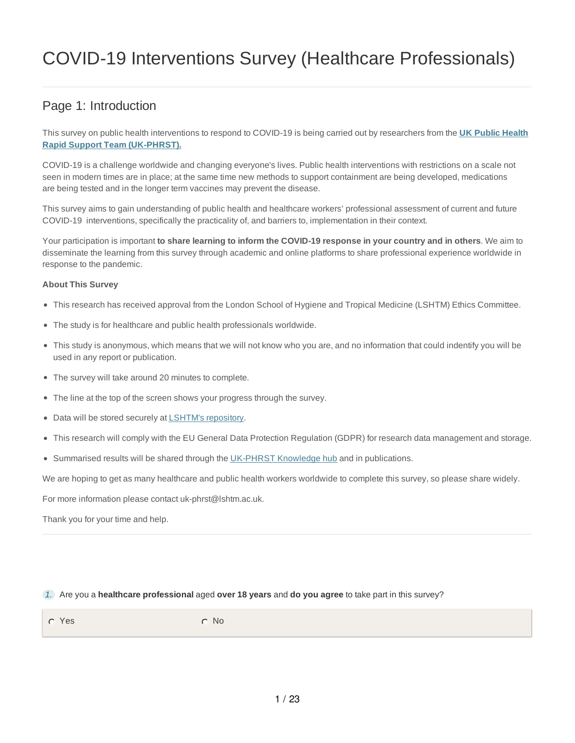# COVID-19 Interventions Survey (Healthcare Professionals)

#### Page 1: Introduction

This survey on public health interventions to respond to COVID-19 is being carried out by researchers from the **UK Public Health Rapid Support Team (UK-PHRST).**

COVID-19 is a challenge worldwide and changing everyone's lives. Public health interventions with restrictions on a scale not seen in modern times are in place; at the same time new methods to support containment are being developed, medications are being tested and in the longer term vaccines may prevent the disease.

This survey aims to gain understanding of public health and healthcare workers' professional assessment of current and future COVID-19 interventions, specifically the practicality of, and barriers to, implementation in their context.

Your participation is important **to share learning to inform the COVID-19 response in your country and in others**. We aim to disseminate the learning from this survey through academic and online platforms to share professional experience worldwide in response to the pandemic.

#### **About This Survey**

- This research has received approval from the London School of Hygiene and Tropical Medicine (LSHTM) Ethics Committee.
- The study is for healthcare and public health professionals worldwide.
- This study is anonymous, which means that we will not know who you are, and no information that could indentify you will be used in any report or publication.
- The survey will take around 20 minutes to complete.
- The line at the top of the screen shows your progress through the survey.
- Data will be stored securely at LSHTM's repository.
- This research will comply with the EU General Data Protection Regulation (GDPR) for research data management and storage.
- **Summarised results will be shared through the UK-PHRST Knowledge hub and in publications.**

We are hoping to get as many healthcare and public health workers worldwide to complete this survey, so please share widely.

For more information please contact uk-phrst@lshtm.ac.uk.

Thank you for your time and help.

#### *1.* Are you a **healthcare professional** aged **over 18 years** and **do you agree** to take part in this survey?

C Yes C No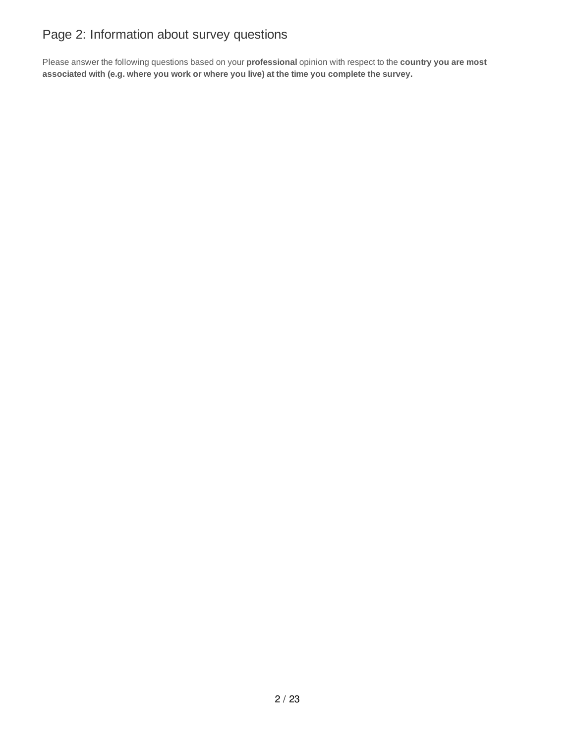### Page 2: Information about survey questions

Please answer the following questions based on your **professional** opinion with respect to the **country you are most associated with (e.g. where you work or where you live) at the time you complete the survey.**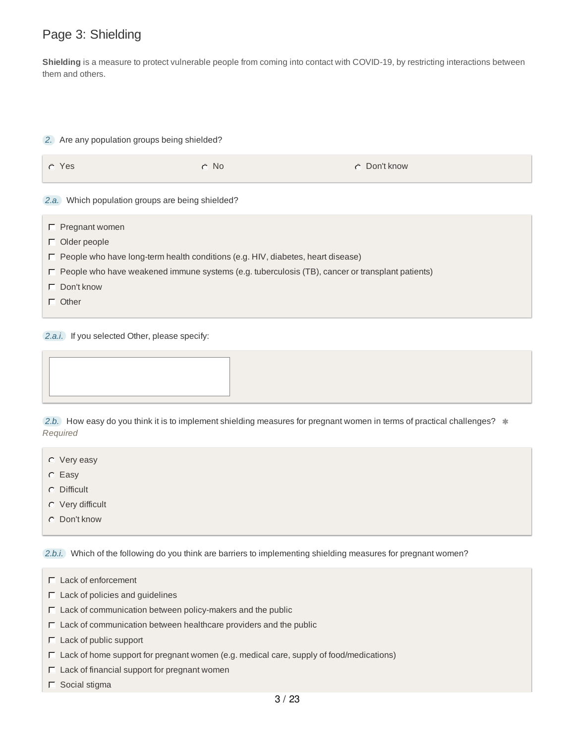#### Page 3: Shielding

**Shielding** is a measure to protect vulnerable people from coming into contact with COVID-19, by restricting interactions between them and others.

| 2. Are any population groups being shielded?     |                                                                                                          |              |  |  |  |  |  |  |
|--------------------------------------------------|----------------------------------------------------------------------------------------------------------|--------------|--|--|--|--|--|--|
| C Yes                                            | $\cap$ No                                                                                                | C Don't know |  |  |  |  |  |  |
| 2.a. Which population groups are being shielded? |                                                                                                          |              |  |  |  |  |  |  |
| $\Gamma$ Pregnant women                          |                                                                                                          |              |  |  |  |  |  |  |
| $\Gamma$ Older people                            |                                                                                                          |              |  |  |  |  |  |  |
|                                                  | $\Gamma$ People who have long-term health conditions (e.g. HIV, diabetes, heart disease)                 |              |  |  |  |  |  |  |
|                                                  | $\Gamma$ People who have weakened immune systems (e.g. tuberculosis (TB), cancer or transplant patients) |              |  |  |  |  |  |  |
| $\Gamma$ Don't know                              |                                                                                                          |              |  |  |  |  |  |  |
| $\Gamma$ Other                                   |                                                                                                          |              |  |  |  |  |  |  |

*2.a.i.* If you selected Other, please specify:

2.b. How easy do you think it is to implement shielding measures for pregnant women in terms of practical challenges?  $*$ *Required*

- Very easy
- C Easy
- Difficult
- Very difficult
- Don't know

*2.b.i.* Which of the following do you think are barriers to implementing shielding measures for pregnant women?

- $\Gamma$  Lack of enforcement
- $\Box$  Lack of policies and guidelines
- $\Gamma$  Lack of communication between policy-makers and the public
- $\Box$  Lack of communication between healthcare providers and the public
- $\Gamma$  Lack of public support
- $\Box$  Lack of home support for pregnant women (e.g. medical care, supply of food/medications)
- $\Gamma$  Lack of financial support for pregnant women
- $\Box$  Social stigma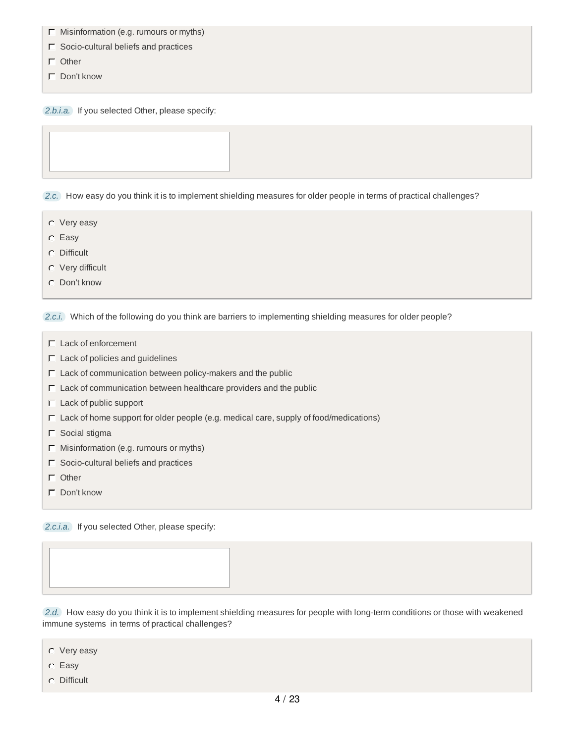- $\Box$  Misinformation (e.g. rumours or myths)
- $\Gamma$  Socio-cultural beliefs and practices
- $\Gamma$  Other
- Don't know

*2.b.i.a.* If you selected Other, please specify:

*2.c.* How easy do you think it is to implement shielding measures for older people in terms of practical challenges?

- Very easy
- Easy
- Difficult
- Very difficult
- Don't know

*2.c.i.* Which of the following do you think are barriers to implementing shielding measures for older people?

- Lack of enforcement
- $\Gamma$  Lack of policies and guidelines
- $\Gamma$  Lack of communication between policy-makers and the public
- $\Gamma$  Lack of communication between healthcare providers and the public
- $\Gamma$  Lack of public support
- $\Gamma$  Lack of home support for older people (e.g. medical care, supply of food/medications)
- $\Gamma$  Social stigma
- $\Gamma$  Misinformation (e.g. rumours or myths)
- $\Box$  Socio-cultural beliefs and practices
- $\Box$  Other
- Don't know

*2.c.i.a.* If you selected Other, please specify:

*2.d.* How easy do you think it is to implement shielding measures for people with long-term conditions or those with weakened immune systems in terms of practical challenges?

- Very easy
- Easy
- Difficult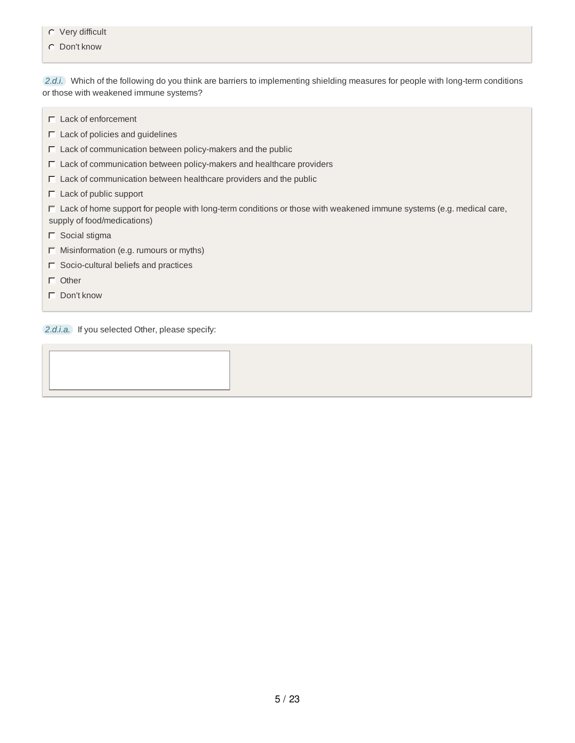- Very difficult
- Don't know

*2.d.i.* Which of the following do you think are barriers to implementing shielding measures for people with long-term conditions or those with weakened immune systems?

- $\Gamma$  Lack of enforcement
- $\Box$  Lack of policies and guidelines
- $\Gamma$  Lack of communication between policy-makers and the public
- $\Gamma$  Lack of communication between policy-makers and healthcare providers
- $\Gamma$  Lack of communication between healthcare providers and the public
- $\Gamma$  Lack of public support

 $\Gamma$  Lack of home support for people with long-term conditions or those with weakened immune systems (e.g. medical care, supply of food/medications)

- $\Gamma$  Social stigma
- $\Gamma$  Misinformation (e.g. rumours or myths)
- $\Box$  Socio-cultural beliefs and practices
- $\Gamma$  Other
- Don't know

*2.d.i.a.* If you selected Other, please specify: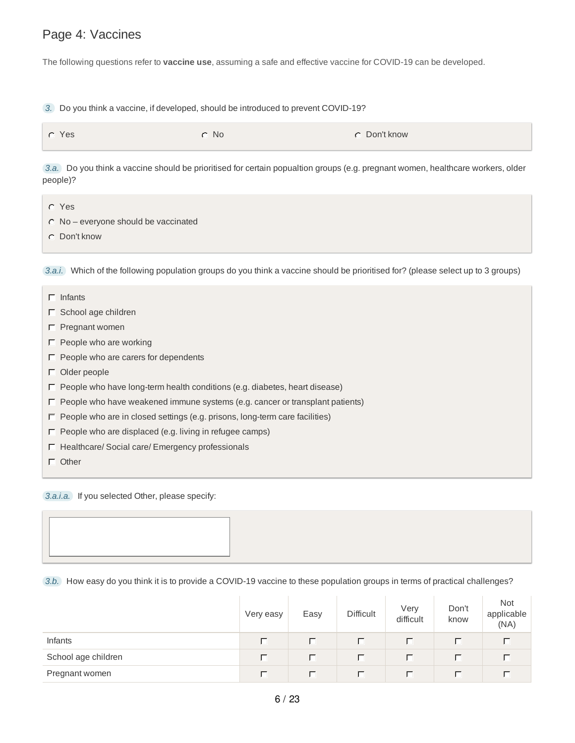### Page 4: Vaccines

The following questions refer to **vaccine use**, assuming a safe and effective vaccine for COVID-19 can be developed.

| $\circ$ No<br>C Don't know<br>C Yes<br>3.a. Do you think a vaccine should be prioritised for certain popualtion groups (e.g. pregnant women, healthcare workers, older<br>people)?<br>C Yes                                                                                                                                                                                                                                                           | 3. Do you think a vaccine, if developed, should be introduced to prevent COVID-19? |  |
|-------------------------------------------------------------------------------------------------------------------------------------------------------------------------------------------------------------------------------------------------------------------------------------------------------------------------------------------------------------------------------------------------------------------------------------------------------|------------------------------------------------------------------------------------|--|
|                                                                                                                                                                                                                                                                                                                                                                                                                                                       |                                                                                    |  |
|                                                                                                                                                                                                                                                                                                                                                                                                                                                       |                                                                                    |  |
| <b>C</b> Don't know                                                                                                                                                                                                                                                                                                                                                                                                                                   | $\circ$ No - everyone should be vaccinated                                         |  |
| 3.a.i. Which of the following population groups do you think a vaccine should be prioritised for? (please select up to 3 groups)                                                                                                                                                                                                                                                                                                                      |                                                                                    |  |
| $\Gamma$ Infants<br>□ School age children<br>$\Gamma$ Pregnant women<br>$\Gamma$ People who are working<br>$\Box$ People who are carers for dependents<br>$\Box$ Older people<br>$\Gamma$ People who have long-term health conditions (e.g. diabetes, heart disease)<br>$\Gamma$ People who have weakened immune systems (e.g. cancer or transplant patients)<br>$\Gamma$ People who are in closed settings (e.g. prisons, long-term care facilities) |                                                                                    |  |
| $\Gamma$ People who are displaced (e.g. living in refugee camps)<br>F Healthcare/ Social care/ Emergency professionals<br>$\Box$ Other                                                                                                                                                                                                                                                                                                                |                                                                                    |  |
| 3.a.i.a. If you selected Other, please specify:                                                                                                                                                                                                                                                                                                                                                                                                       |                                                                                    |  |

*3.b.* How easy do you think it is to provide a COVID-19 vaccine to these population groups in terms of practical challenges?

|                     | Very easy | Easy | <b>Difficult</b> | Verv<br>difficult | Don't<br>know  | <b>Not</b><br>applicable<br>(NA) |
|---------------------|-----------|------|------------------|-------------------|----------------|----------------------------------|
| <b>Infants</b>      |           | m.   |                  |                   | $\blacksquare$ |                                  |
| School age children |           |      |                  |                   | ┍              |                                  |
| Pregnant women      |           |      |                  |                   |                |                                  |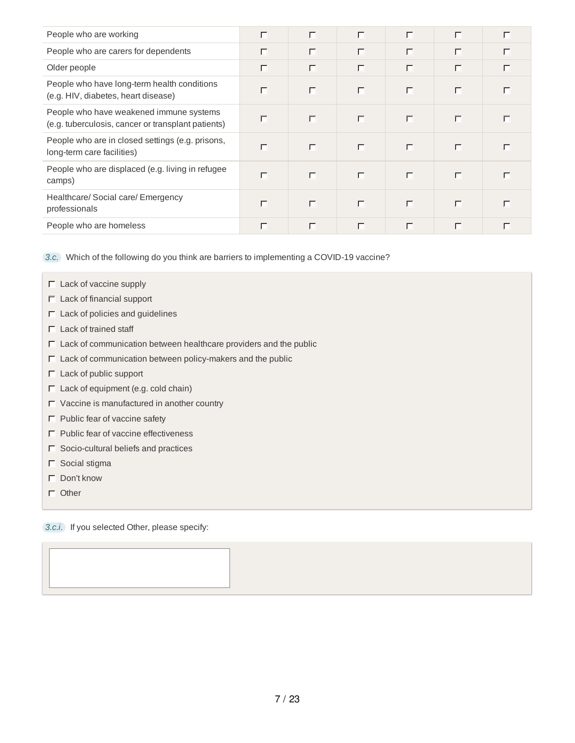| People who are working                                                                        |  | $\Gamma$ | г        | г      |  |
|-----------------------------------------------------------------------------------------------|--|----------|----------|--------|--|
| People who are carers for dependents                                                          |  | г        | г        | $\Box$ |  |
| Older people                                                                                  |  | Г        | г        | $\Box$ |  |
| People who have long-term health conditions<br>(e.g. HIV, diabetes, heart disease)            |  | $\Gamma$ | $\Box$   | $\Box$ |  |
| People who have weakened immune systems<br>(e.g. tuberculosis, cancer or transplant patients) |  | $\Box$   | $\Gamma$ | $\Box$ |  |
| People who are in closed settings (e.g. prisons,<br>long-term care facilities)                |  | $\Gamma$ | $\Box$   | $\Box$ |  |
| People who are displaced (e.g. living in refugee<br>camps)                                    |  | $\Box$   | $\Box$   | $\Box$ |  |
| Healthcare/ Social care/ Emergency<br>professionals                                           |  | $\Box$   | $\Gamma$ | $\Box$ |  |
| People who are homeless                                                                       |  | $\Box$   | $\Box$   | $\Box$ |  |

*3.c.* Which of the following do you think are barriers to implementing a COVID-19 vaccine?

- $\Box$  Lack of vaccine supply
- $\Gamma$  Lack of financial support
- $\Box$  Lack of policies and guidelines
- $\Gamma$  Lack of trained staff
- $\Gamma$  Lack of communication between healthcare providers and the public
- $\Gamma$  Lack of communication between policy-makers and the public
- $\Box$  Lack of public support
- $\Box$  Lack of equipment (e.g. cold chain)
- $\Box$  Vaccine is manufactured in another country
- $\Box$  Public fear of vaccine safety
- $\Box$  Public fear of vaccine effectiveness
- $\Box$  Socio-cultural beliefs and practices
- $\Gamma$  Social stigma
- Don't know
- $\Box$  Other

*3.c.i.* If you selected Other, please specify: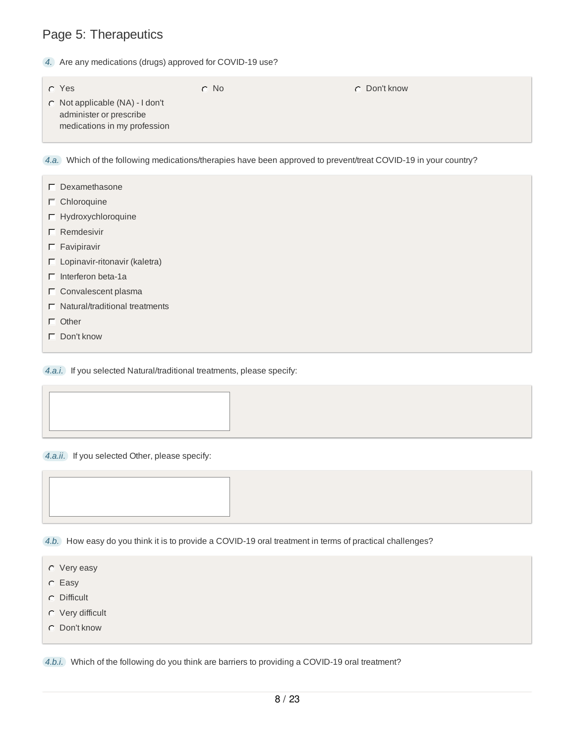#### Page 5: Therapeutics

*4.* Are any medications (drugs) approved for COVID-19 use?

| C Yes                                                                                           | $\circ$ No | C Don't know |
|-------------------------------------------------------------------------------------------------|------------|--------------|
| $\cap$ Not applicable (NA) - I don't<br>administer or prescribe<br>medications in my profession |            |              |

*4.a.* Which of the following medications/therapies have been approved to prevent/treat COVID-19 in your country?

- $\Box$  Dexamethasone
- $\Gamma$  Chloroquine
- $\Box$  Hydroxychloroquine
- $\Gamma$  Remdesivir
- $\Box$  Favipiravir
- Lopinavir-ritonavir (kaletra)
- $\Box$  Interferon beta-1a
- $\Gamma$  Convalescent plasma
- $\Gamma$  Natural/traditional treatments
- $\Box$  Other
- Don't know

*4.a.i.* If you selected Natural/traditional treatments, please specify:

*4.a.ii.* If you selected Other, please specify:

*4.b.* How easy do you think it is to provide a COVID-19 oral treatment in terms of practical challenges?

- Very easy
- Easy
- Difficult
- Very difficult
- Don't know

*4.b.i.* Which of the following do you think are barriers to providing a COVID-19 oral treatment?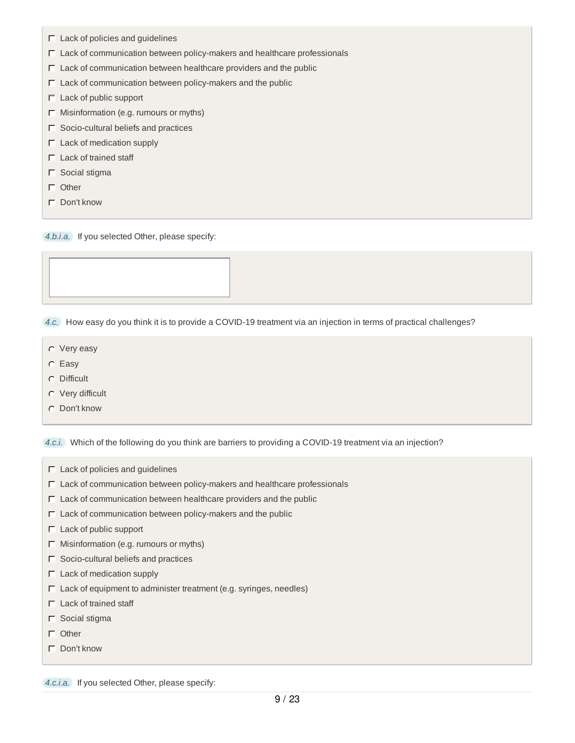- $\Box$  Lack of policies and guidelines
- $\Gamma$  Lack of communication between policy-makers and healthcare professionals
- $\Box$  Lack of communication between healthcare providers and the public
- $\Gamma$  Lack of communication between policy-makers and the public
- $\Gamma$  Lack of public support
- $\Gamma$  Misinformation (e.g. rumours or myths)
- $\Box$  Socio-cultural beliefs and practices
- $\Gamma$  Lack of medication supply
- $\Gamma$  Lack of trained staff
- $\Gamma$  Social stigma
- $\Box$  Other
- $\Gamma$  Don't know

*4.b.i.a.* If you selected Other, please specify:

*4.c.* How easy do you think it is to provide a COVID-19 treatment via an injection in terms of practical challenges?

- Very easy
- Easy
- Difficult
- Very difficult
- Don't know

*4.c.i.* Which of the following do you think are barriers to providing a COVID-19 treatment via an injection?

- $\Gamma$  Lack of policies and guidelines
- $\Gamma$  Lack of communication between policy-makers and healthcare professionals
- $\Box$  Lack of communication between healthcare providers and the public
- $\Gamma$  Lack of communication between policy-makers and the public
- $\Box$  Lack of public support
- $\Gamma$  Misinformation (e.g. rumours or myths)
- $\Gamma$  Socio-cultural beliefs and practices
- $\Gamma$  Lack of medication supply
- $\Gamma$  Lack of equipment to administer treatment (e.g. syringes, needles)
- $\Box$  Lack of trained staff
- $\Gamma$  Social stigma
- $\Gamma$  Other
- Don't know

*4.c.i.a.* If you selected Other, please specify: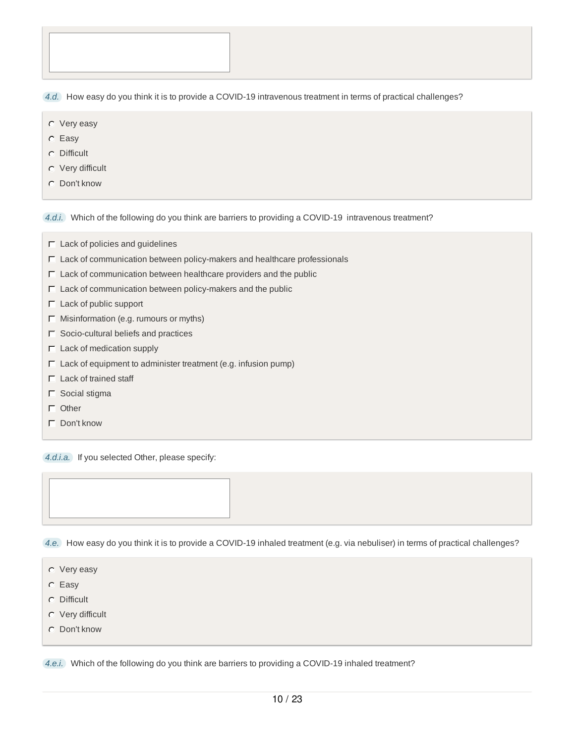|  | 4.d. How easy do you think it is to provide a COVID-19 intravenous treatment in terms of practical challenges? |  |  |  |
|--|----------------------------------------------------------------------------------------------------------------|--|--|--|

- Very easy
- Easy
- Difficult
- Very difficult
- Don't know

*4.d.i.* Which of the following do you think are barriers to providing a COVID-19 intravenous treatment?

- $\Gamma$  Lack of policies and guidelines
- $\Gamma$  Lack of communication between policy-makers and healthcare professionals
- $\Gamma$  Lack of communication between healthcare providers and the public
- $\Box$  Lack of communication between policy-makers and the public
- $\Gamma$  Lack of public support
- $\Gamma$  Misinformation (e.g. rumours or myths)
- $\Box$  Socio-cultural beliefs and practices
- $\Gamma$  Lack of medication supply
- $\Box$  Lack of equipment to administer treatment (e.g. infusion pump)
- $\Gamma$  Lack of trained staff
- $\Gamma$  Social stigma
- $\Gamma$  Other
- Don't know

*4.d.i.a.* If you selected Other, please specify:

*4.e.* How easy do you think it is to provide a COVID-19 inhaled treatment (e.g. via nebuliser) in terms of practical challenges?

- Very easy
- Easy
- Difficult
- Very difficult
- Don't know

*4.e.i.* Which of the following do you think are barriers to providing a COVID-19 inhaled treatment?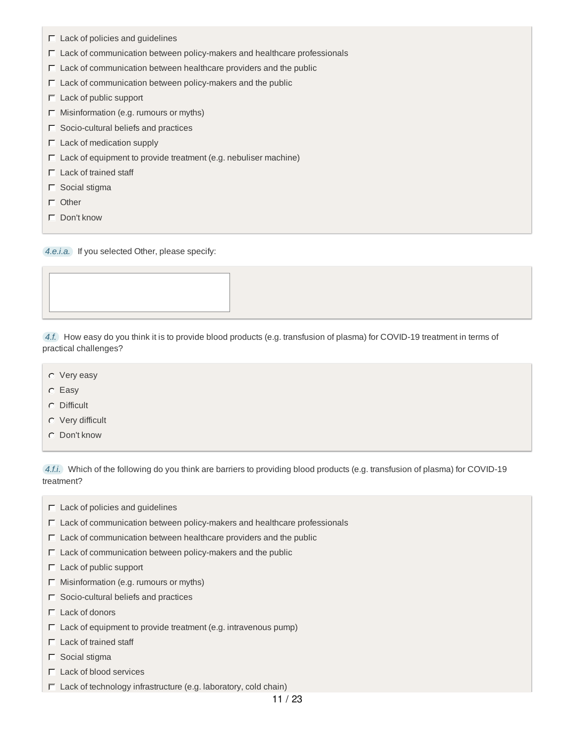- $\Box$  Lack of policies and guidelines
- $\Gamma$  Lack of communication between policy-makers and healthcare professionals
- $\Box$  Lack of communication between healthcare providers and the public
- $\Gamma$  Lack of communication between policy-makers and the public
- $\Gamma$  Lack of public support
- $\Gamma$  Misinformation (e.g. rumours or myths)
- $\Gamma$  Socio-cultural beliefs and practices
- $\Gamma$  Lack of medication supply
- $\Gamma$  Lack of equipment to provide treatment (e.g. nebuliser machine)
- $\Box$  Lack of trained staff
- $\Gamma$  Social stigma
- $\Box$  Other
- Don't know

*4.e.i.a.* If you selected Other, please specify:

*4.f.* How easy do you think it is to provide blood products (e.g. transfusion of plasma) for COVID-19 treatment in terms of practical challenges?

- Very easy
- Easy
- Difficult
- Very difficult
- Don't know

*4.f.i.* Which of the following do you think are barriers to providing blood products (e.g. transfusion of plasma) for COVID-19 treatment?

- $\Gamma$  Lack of policies and guidelines
- $\Gamma$  Lack of communication between policy-makers and healthcare professionals
- $\Gamma$  Lack of communication between healthcare providers and the public
- $\Box$  Lack of communication between policy-makers and the public
- $\Gamma$  Lack of public support
- $\Gamma$  Misinformation (e.g. rumours or myths)
- $\Box$  Socio-cultural beliefs and practices
- $\Gamma$  Lack of donors
- $\Box$  Lack of equipment to provide treatment (e.g. intravenous pump)
- $\Box$  Lack of trained staff
- $\Gamma$  Social stigma
- $\Box$  Lack of blood services
- $\Gamma$  Lack of technology infrastructure (e.g. laboratory, cold chain)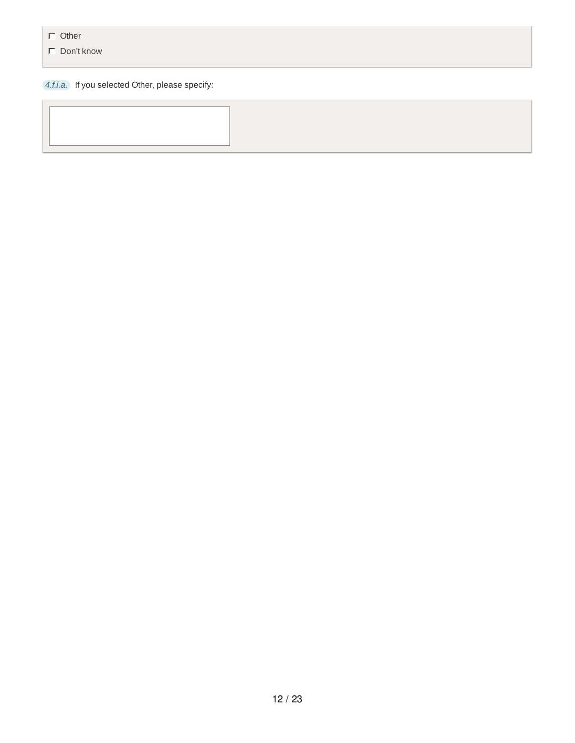Don't know

*4.f.i.a.* If you selected Other, please specify: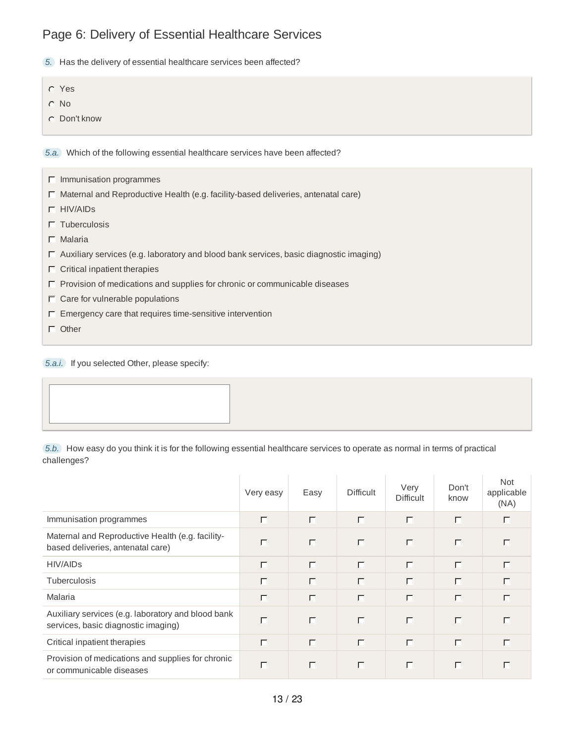#### Page 6: Delivery of Essential Healthcare Services

*5.* Has the delivery of essential healthcare services been affected?

- Yes
- No
- Don't know

*5.a.* Which of the following essential healthcare services have been affected?

 $\Box$  Immunisation programmes  $\Box$  Maternal and Reproductive Health (e.g. facility-based deliveries, antenatal care) HIV/AIDs  $\Gamma$  Tuberculosis  $\Box$  Malaria  $\Box$  Auxiliary services (e.g. laboratory and blood bank services, basic diagnostic imaging)  $\Gamma$  Critical inpatient therapies  $\Box$  Provision of medications and supplies for chronic or communicable diseases  $\Gamma$  Care for vulnerable populations  $\Box$  Emergency care that requires time-sensitive intervention  $\Gamma$  Other

*5.a.i.* If you selected Other, please specify:

*5.b.* How easy do you think it is for the following essential healthcare services to operate as normal in terms of practical challenges?

|                                                                                           | Very easy | Easy     | <b>Difficult</b> | Very<br><b>Difficult</b> | Don't<br>know | <b>Not</b><br>applicable<br>(NA) |
|-------------------------------------------------------------------------------------------|-----------|----------|------------------|--------------------------|---------------|----------------------------------|
| Immunisation programmes                                                                   |           | $\Gamma$ | $\Box$           | $\Box$                   | $\Box$        |                                  |
| Maternal and Reproductive Health (e.g. facility-<br>based deliveries, antenatal care)     |           | $\Gamma$ | Г                | $\Box$                   | $\Box$        | $\Gamma$                         |
| <b>HIV/AIDS</b>                                                                           | П         | $\Box$   | $\Box$           | $\Box$                   | $\Gamma$      | $\Box$                           |
| <b>Tuberculosis</b>                                                                       | $\Box$    | Г        | Г                | Г                        | $\Box$        | г                                |
| Malaria                                                                                   |           | $\Box$   | $\Gamma$         | $\Box$                   | $\Box$        | $\Gamma$                         |
| Auxiliary services (e.g. laboratory and blood bank<br>services, basic diagnostic imaging) |           | $\Box$   | $\Gamma$         | $\Box$                   | $\Box$        |                                  |
| Critical inpatient therapies                                                              |           |          | $\Box$           | $\Box$                   | $\Box$        |                                  |
| Provision of medications and supplies for chronic<br>or communicable diseases             |           |          | г                | $\Box$                   | г             |                                  |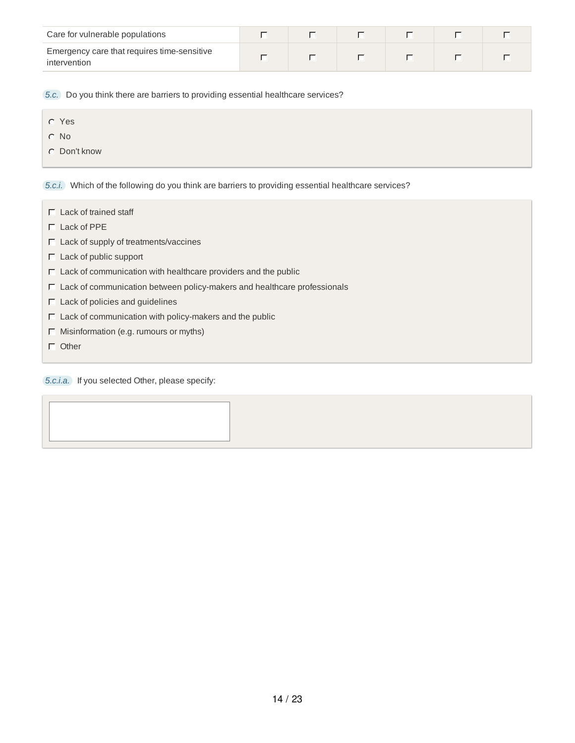| Care for vulnerable populations                             |  |  |  |
|-------------------------------------------------------------|--|--|--|
| Emergency care that requires time-sensitive<br>intervention |  |  |  |

*5.c.* Do you think there are barriers to providing essential healthcare services?

- Yes
- C No
- Don't know

*5.c.i.* Which of the following do you think are barriers to providing essential healthcare services?

- $\Gamma$  Lack of trained staff
- $\Box$  Lack of PPE
- $\Gamma$  Lack of supply of treatments/vaccines
- $\Gamma$  Lack of public support
- $\Gamma$  Lack of communication with healthcare providers and the public
- $\Gamma$  Lack of communication between policy-makers and healthcare professionals
- $\Box$  Lack of policies and guidelines
- $\Gamma$  Lack of communication with policy-makers and the public
- $\Box$  Misinformation (e.g. rumours or myths)
- $\Box$  Other

*5.c.i.a.* If you selected Other, please specify: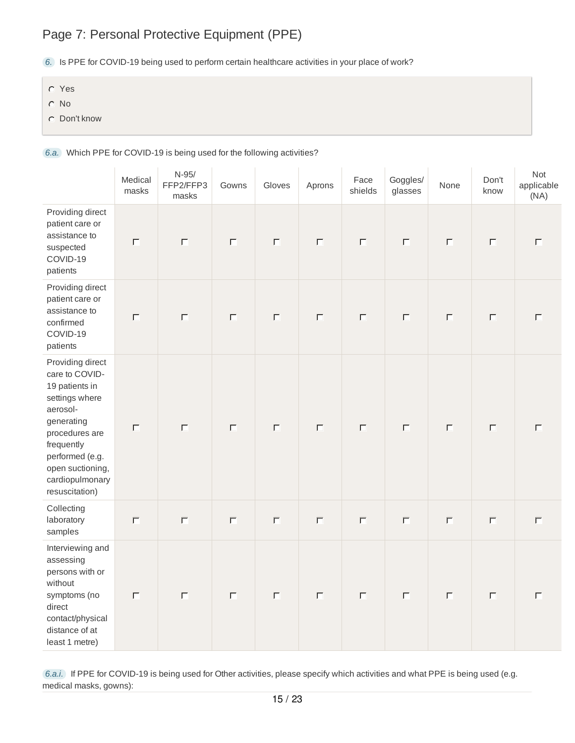*6.* Is PPE for COVID-19 being used to perform certain healthcare activities in your place of work?

Yes

- No
- Don't know

*6.a.* Which PPE for COVID-19 is being used for the following activities?

|                                                                                                                                                                                                              | Medical<br>masks | $N-95/$<br>FFP2/FFP3<br>masks | Gowns  | Gloves | Aprons | Face<br>shields | Goggles/<br>glasses | None   | Don't<br>know | Not<br>applicable<br>(NA) |
|--------------------------------------------------------------------------------------------------------------------------------------------------------------------------------------------------------------|------------------|-------------------------------|--------|--------|--------|-----------------|---------------------|--------|---------------|---------------------------|
| Providing direct<br>patient care or<br>assistance to<br>suspected<br>COVID-19<br>patients                                                                                                                    | $\Box$           | $\Box$                        | $\Box$ | $\Box$ | $\Box$ | $\Box$          | $\Box$              | $\Box$ | $\Box$        | $\Box$                    |
| Providing direct<br>patient care or<br>assistance to<br>confirmed<br>COVID-19<br>patients                                                                                                                    | $\Box$           | $\overline{\Box}$             | $\Box$ | $\Box$ | $\Box$ | $\Box$          | $\Box$              | $\Box$ | $\Box$        | $\Box$                    |
| Providing direct<br>care to COVID-<br>19 patients in<br>settings where<br>aerosol-<br>generating<br>procedures are<br>frequently<br>performed (e.g.<br>open suctioning,<br>cardiopulmonary<br>resuscitation) | $\Box$           | $\overline{\Box}$             | $\Box$ | $\Box$ | $\Box$ | $\Box$          | $\Box$              | $\Box$ | $\Box$        | $\Box$                    |
| Collecting<br>laboratory<br>samples                                                                                                                                                                          | $\Box$           | $\overline{\Box}$             | $\Box$ | $\Box$ | $\Box$ | $\Box$          | $\Box$              | $\Box$ | $\Box$        | $\Box$                    |
| Interviewing and<br>assessing<br>persons with or<br>without<br>symptoms (no<br>direct<br>contact/physical<br>distance of at<br>least 1 metre)                                                                | $\Box$           | $\Box$                        | $\Box$ | $\Box$ | $\Box$ | $\Box$          | $\Box$              | $\Box$ | $\Box$        | $\Box$                    |

*6.a.i.* If PPE for COVID-19 is being used for Other activities, please specify which activities and what PPE is being used (e.g. medical masks, gowns):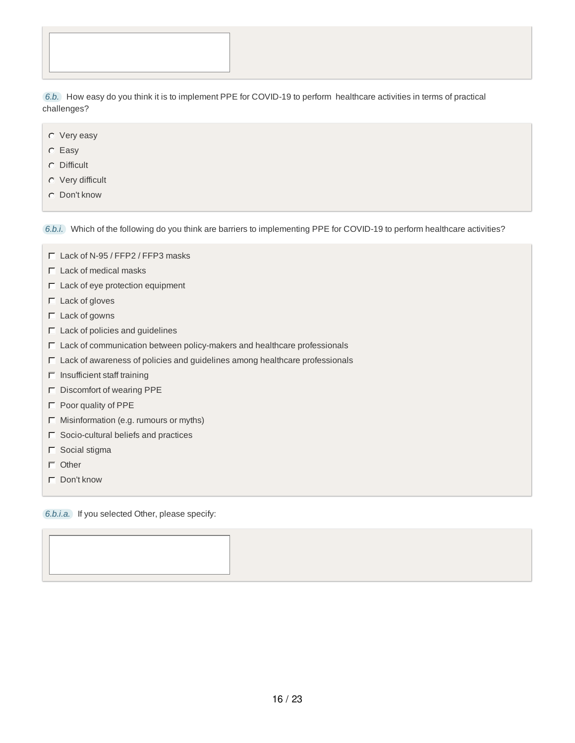*6.b.* How easy do you think it is to implement PPE for COVID-19 to perform healthcare activities in terms of practical challenges?

- Very easy
- Easy
- Difficult
- Very difficult
- Don't know

*6.b.i.* Which of the following do you think are barriers to implementing PPE for COVID-19 to perform healthcare activities?

- Lack of N-95 / FFP2 / FFP3 masks
- $\Gamma$  Lack of medical masks
- $\Box$  Lack of eye protection equipment
- $\Box$  Lack of gloves
- $\Box$  Lack of gowns
- $\Box$  Lack of policies and guidelines
- $\Box$  Lack of communication between policy-makers and healthcare professionals
- $\Box$  Lack of awareness of policies and guidelines among healthcare professionals
- $\Box$  Insufficient staff training
- $\Gamma$  Discomfort of wearing PPE
- $\Box$  Poor quality of PPE
- $\Box$  Misinformation (e.g. rumours or myths)
- $\Box$  Socio-cultural beliefs and practices
- $\Gamma$  Social stigma
- □ Other
- Don't know

*6.b.i.a.* If you selected Other, please specify: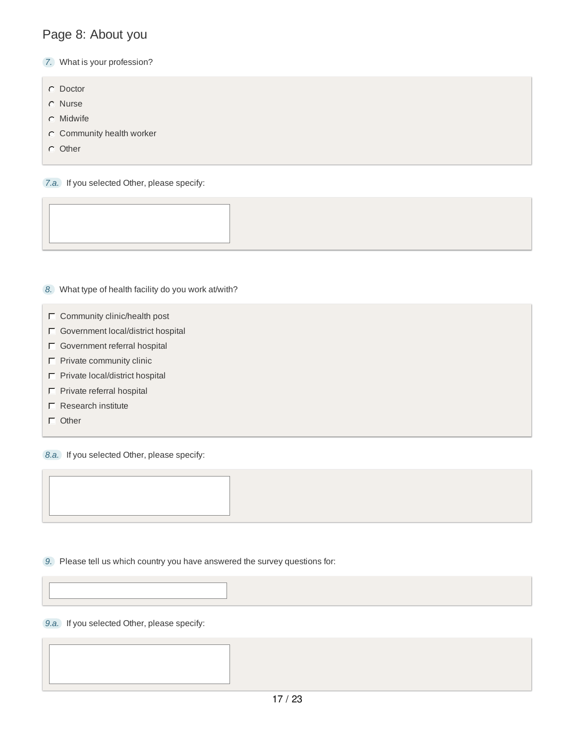#### Page 8: About you

*7.* What is your profession?

- C Doctor
- Nurse
- Midwife
- $C$  Community health worker
- $O$  Other

*7.a.* If you selected Other, please specify:

*8.* What type of health facility do you work at/with?

- $\Box$  Community clinic/health post
- Government local/district hospital
- Government referral hospital
- $\Gamma$  Private community clinic
- $\Gamma$  Private local/district hospital
- $\Gamma$  Private referral hospital
- $\Box$  Research institute
- $\Box$  Other

*8.a.* If you selected Other, please specify:

*9.* Please tell us which country you have answered the survey questions for:

*9.a.* If you selected Other, please specify: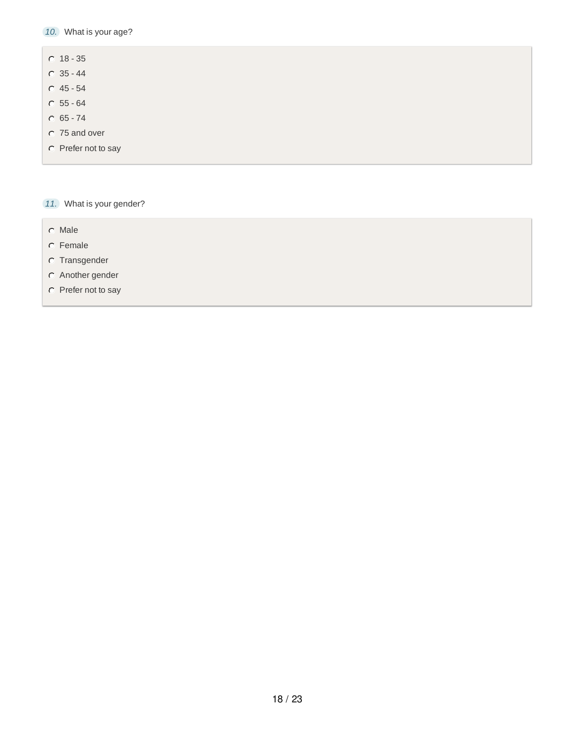- *10.* What is your age?
- $C$  18 35  $O$  35 - 44
- $C$  45 54
- $C$  55 64
- $C$  65 74
- 75 and over
- Prefer not to say

*11.* What is your gender?

- Male
- Female
- Transgender
- Another gender
- Prefer not to say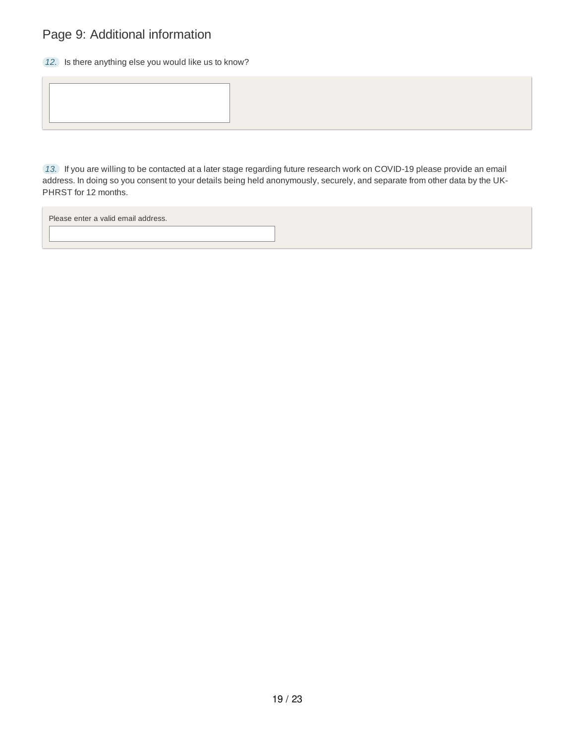#### Page 9: Additional information

*12.* Is there anything else you would like us to know?

*13.* If you are willing to be contacted at a later stage regarding future research work on COVID-19 please provide an email address. In doing so you consent to your details being held anonymously, securely, and separate from other data by the UK-PHRST for 12 months.

Please enter a valid email address.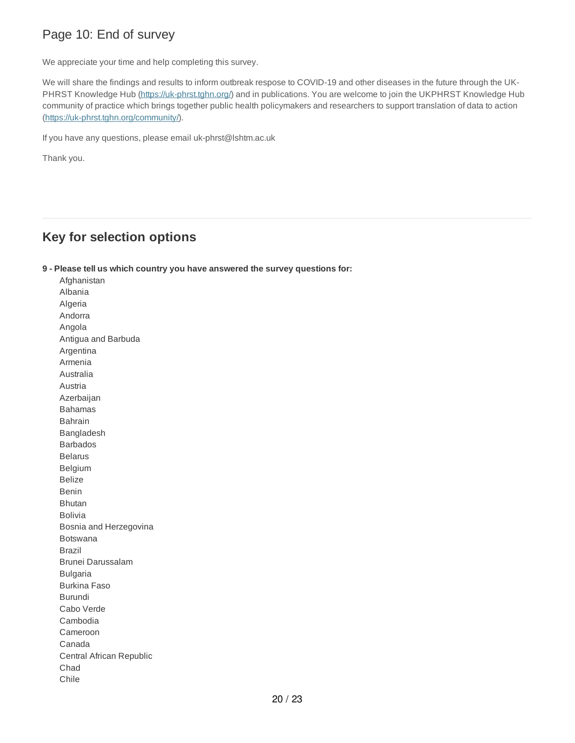#### Page 10: End of survey

We appreciate your time and help completing this survey.

We will share the findings and results to inform outbreak respose to COVID-19 and other diseases in the future through the UK-PHRST Knowledge Hub (https://uk-phrst.tghn.org/) and in publications. You are welcome to join the UKPHRST Knowledge Hub community of practice which brings together public health policymakers and researchers to support translation of data to action (https://uk-phrst.tghn.org/community/).

If you have any questions, please email uk-phrst@lshtm.ac.uk

Thank you.

#### **Key for selection options**

**9 - Please tell us which country you have answered the survey questions for:**

Afghanistan Albania Algeria Andorra Angola Antigua and Barbuda Argentina Armenia Australia Austria Azerbaijan Bahamas Bahrain Bangladesh Barbados Belarus Belgium Belize Benin Bhutan Bolivia Bosnia and Herzegovina Botswana Brazil Brunei Darussalam Bulgaria Burkina Faso Burundi Cabo Verde Cambodia Cameroon Canada Central African Republic Chad Chile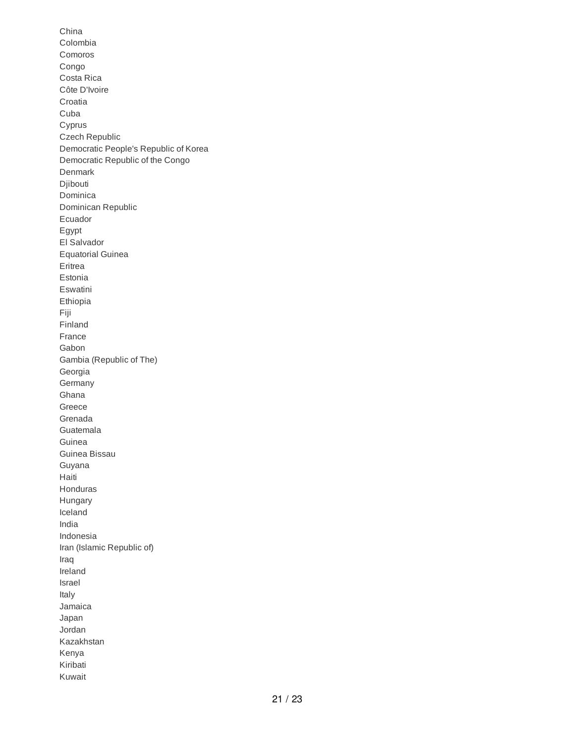China Colombia Comoros Congo Costa Rica Côte D'Ivoire Croatia Cuba Cyprus Czech Republic Democratic People's Republic of Korea Democratic Republic of the Congo Denmark Djibouti Dominica Dominican Republic Ecuador Egypt El Salvador Equatorial Guinea Eritrea Estonia Eswatini Ethiopia Fiji Finland France Gabon Gambia (Republic of The) Georgia Germany Ghana Greece Grenada Guatemala Guinea Guinea Bissau Guyana Haiti Honduras Hungary Iceland India Indonesia Iran (Islamic Republic of) Iraq Ireland Israel Italy Jamaica Japan Jordan Kazakhstan Kenya Kiribati Kuwait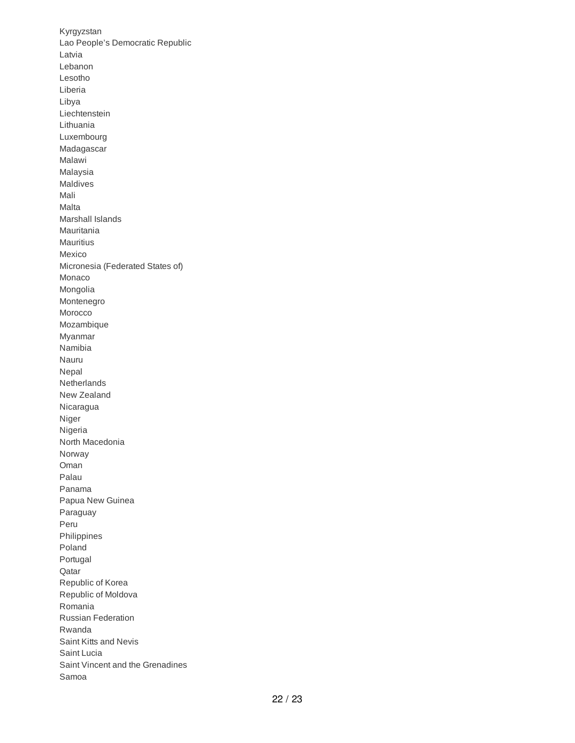Kyrgyzstan Lao People's Democratic Republic Latvia Lebanon Lesotho Liberia Libya Liechtenstein Lithuania Luxembourg Madagascar Malawi Malaysia Maldives Mali Malta Marshall Islands Mauritania Mauritius Mexico Micronesia (Federated States of) Monaco Mongolia Montenegro Morocco Mozambique Myanmar Namibia Nauru Nepal Netherlands New Zealand Nicaragua Niger Nigeria North Macedonia Norway Oman Palau Panama Papua New Guinea Paraguay Peru Philippines Poland Portugal Qatar Republic of Korea Republic of Moldova Romania Russian Federation Rwanda Saint Kitts and Nevis Saint Lucia Saint Vincent and the Grenadines Samoa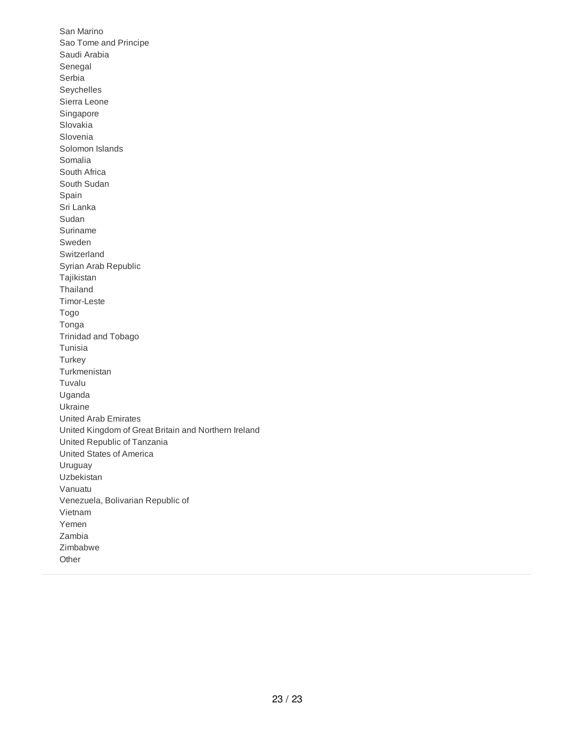San Marino Sao Tome and Principe Saudi Arabia Senegal Serbia Seychelles Sierra Leone Singapore Slovakia Slovenia Solomon Islands Somalia South Africa South Sudan Spain Sri Lanka Sudan Suriname Sweden Switzerland Syrian Arab Republic Tajikistan Thailand Timor-Leste Togo Tonga Trinidad and Tobago Tunisia **Turkey** Turkmenistan Tuvalu Uganda Ukraine United Arab Emirates United Kingdom of Great Britain and Northern Ireland United Republic of Tanzania United States of America Uruguay Uzbekistan Vanuatu Venezuela, Bolivarian Republic of Vietnam Yemen Zambia Zimbabwe Other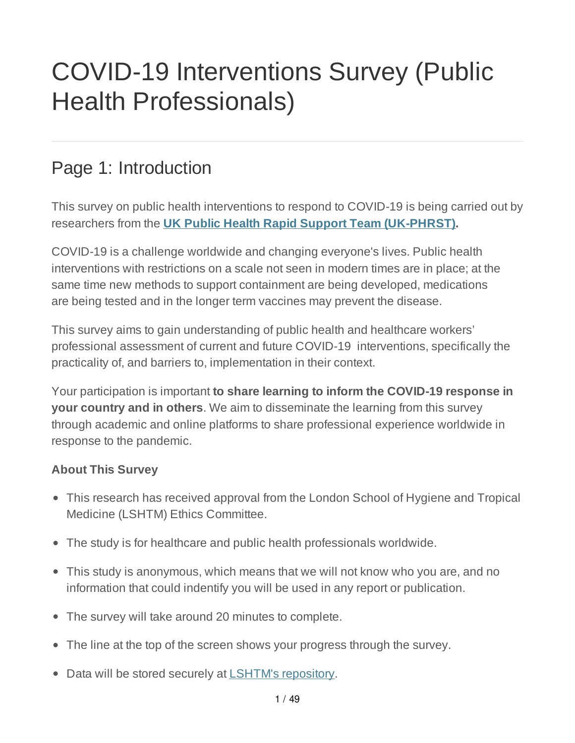# COVID-19 Interventions Survey (Public Health Professionals)

### Page 1: Introduction

This survey on public health interventions to respond to COVID-19 is being carried out by researchers from the **UK Public Health Rapid Support Team (UK-PHRST).**

COVID-19 is a challenge worldwide and changing everyone's lives. Public health interventions with restrictions on a scale not seen in modern times are in place; at the same time new methods to support containment are being developed, medications are being tested and in the longer term vaccines may prevent the disease.

This survey aims to gain understanding of public health and healthcare workers' professional assessment of current and future COVID-19 interventions, specifically the practicality of, and barriers to, implementation in their context.

Your participation is important **to share learning to inform the COVID-19 response in your country and in others**. We aim to disseminate the learning from this survey through academic and online platforms to share professional experience worldwide in response to the pandemic.

#### **About This Survey**

- This research has received approval from the London School of Hygiene and Tropical Medicine (LSHTM) Ethics Committee.
- The study is for healthcare and public health professionals worldwide.
- This study is anonymous, which means that we will not know who you are, and no information that could indentify you will be used in any report or publication.
- The survey will take around 20 minutes to complete.
- The line at the top of the screen shows your progress through the survey.
- Data will be stored securely at LSHTM's repository.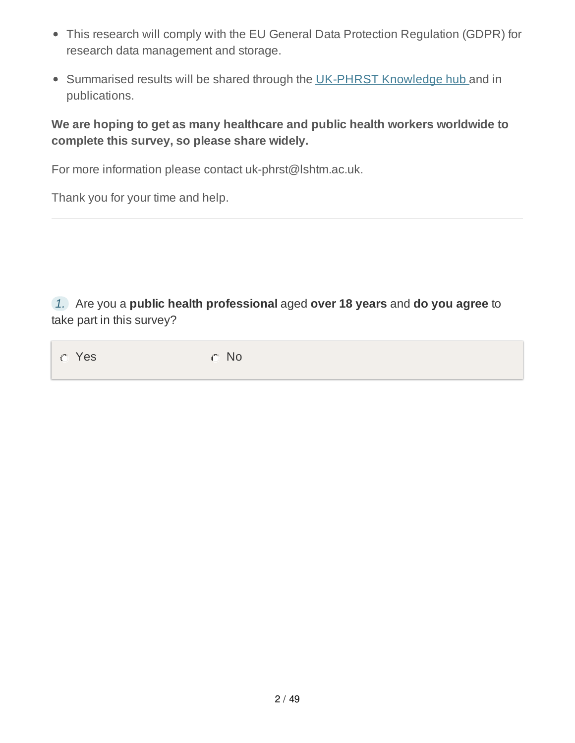- This research will comply with the EU General Data Protection Regulation (GDPR) for research data management and storage.
- Summarised results will be shared through the UK-PHRST Knowledge hub and in publications.

#### **We are hoping to get as many healthcare and public health workers worldwide to complete this survey, so please share widely.**

For more information please contact uk-phrst@lshtm.ac.uk.

Thank you for your time and help.

*1.* Are you a **public health professional** aged **over 18 years** and **do you agree** to take part in this survey?

C Yes C No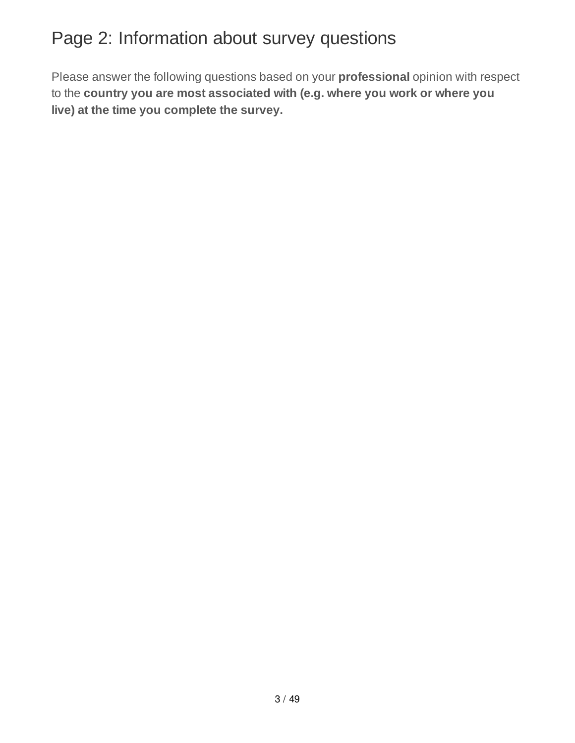# Page 2: Information about survey questions

Please answer the following questions based on your **professional** opinion with respect to the **country you are most associated with (e.g. where you work or where you live) at the time you complete the survey.**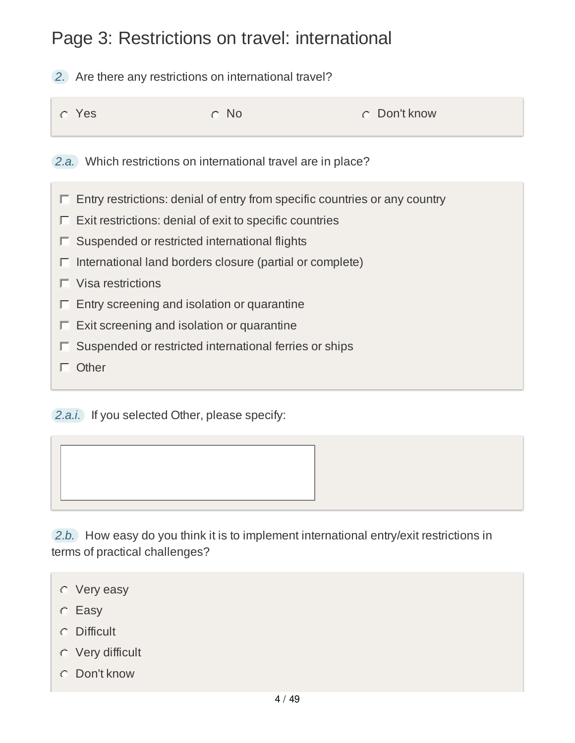### Page 3: Restrictions on travel: international

*2.* Are there any restrictions on international travel?

| <b>O</b> Yes | $\circ$ No | <b>C</b> Don't know |
|--------------|------------|---------------------|
|              |            |                     |

*2.a.* Which restrictions on international travel are in place?

- $\Box$  Entry restrictions: denial of entry from specific countries or any country
- $\Box$  Exit restrictions: denial of exit to specific countries
- $\Box$  Suspended or restricted international flights
- $\Box$  International land borders closure (partial or complete)
- $\Box$  Visa restrictions
- $\Box$  Entry screening and isolation or quarantine
- $\Box$  Exit screening and isolation or quarantine
- $\Gamma$  Suspended or restricted international ferries or ships
- $\Box$  Other

*2.a.i.* If you selected Other, please specify:

*2.b.* How easy do you think it is to implement international entry/exit restrictions in terms of practical challenges?

- Very easy
- C Easy
- Difficult
- Very difficult
- Don't know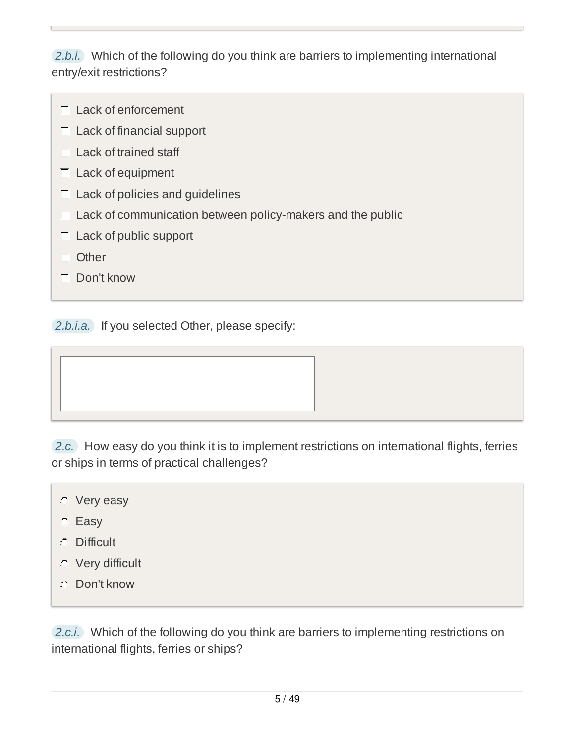*2.b.i.* Which of the following do you think are barriers to implementing international entry/exit restrictions?

- Lack of enforcement
- $\Box$  Lack of financial support
- $\Box$  Lack of trained staff
- $\Box$  Lack of equipment
- $\Box$  Lack of policies and guidelines
- $\Box$  Lack of communication between policy-makers and the public
- $\Box$  Lack of public support
- Other
- Don't know

*2.b.i.a.* If you selected Other, please specify:

*2.c.* How easy do you think it is to implement restrictions on international flights, ferries or ships in terms of practical challenges?

- Very easy
- C Easy
- Difficult
- Very difficult
- Don't know

*2.c.i.* Which of the following do you think are barriers to implementing restrictions on international flights, ferries or ships?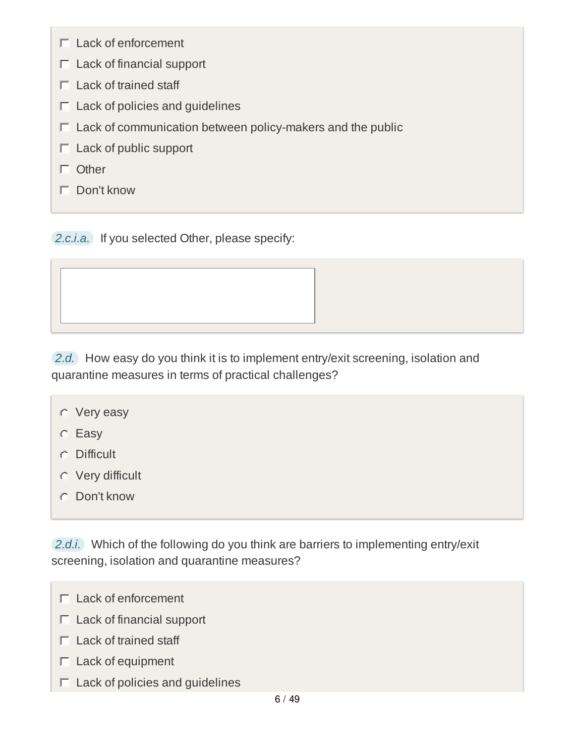- $\Box$  Lack of enforcement
- $\Box$  Lack of financial support
- $\Gamma$  Lack of trained staff
- $\Box$  Lack of policies and guidelines
- $\Gamma$  Lack of communication between policy-makers and the public
- $\Box$  Lack of public support
- Other
- $\Box$  Don't know

*2.c.i.a.* If you selected Other, please specify:

*2.d.* How easy do you think it is to implement entry/exit screening, isolation and quarantine measures in terms of practical challenges?

- Very easy
- C Easy
- Difficult
- Very difficult
- Don't know

*2.d.i.* Which of the following do you think are barriers to implementing entry/exit screening, isolation and quarantine measures?

- $\Box$  Lack of enforcement
- $\Box$  Lack of financial support
- $\Box$  Lack of trained staff
- $\Box$  Lack of equipment
- $\Box$  Lack of policies and guidelines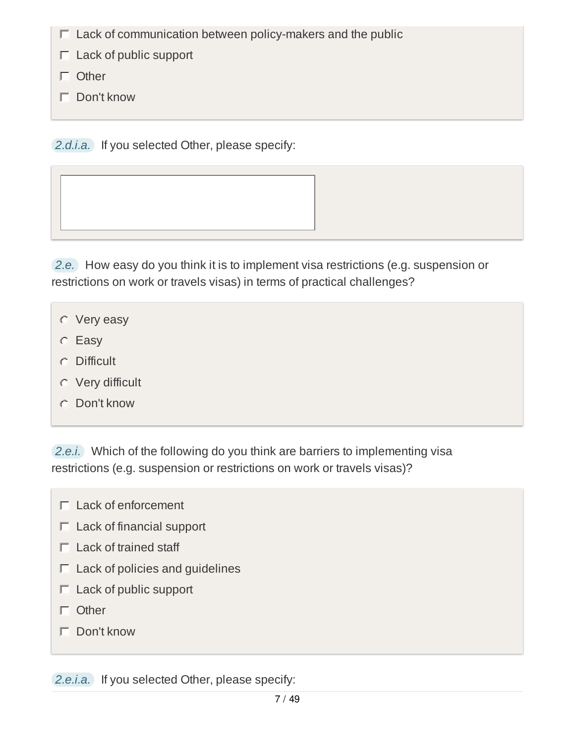$\Box$  Lack of communication between policy-makers and the public

- $\Box$  Lack of public support
- $\Box$  Other
- Don't know

*2.d.i.a.* If you selected Other, please specify:

*2.e.* How easy do you think it is to implement visa restrictions (e.g. suspension or restrictions on work or travels visas) in terms of practical challenges?

- Very easy
- C Easy
- Difficult
- Very difficult
- Don't know

*2.e.i.* Which of the following do you think are barriers to implementing visa restrictions (e.g. suspension or restrictions on work or travels visas)?

- $\Box$  Lack of enforcement
- $\Gamma$  Lack of financial support
- $\Gamma$  Lack of trained staff
- $\Box$  Lack of policies and guidelines
- $\Box$  Lack of public support
- $\Box$  Other
- $\Gamma$  Don't know

*2.e.i.a.* If you selected Other, please specify: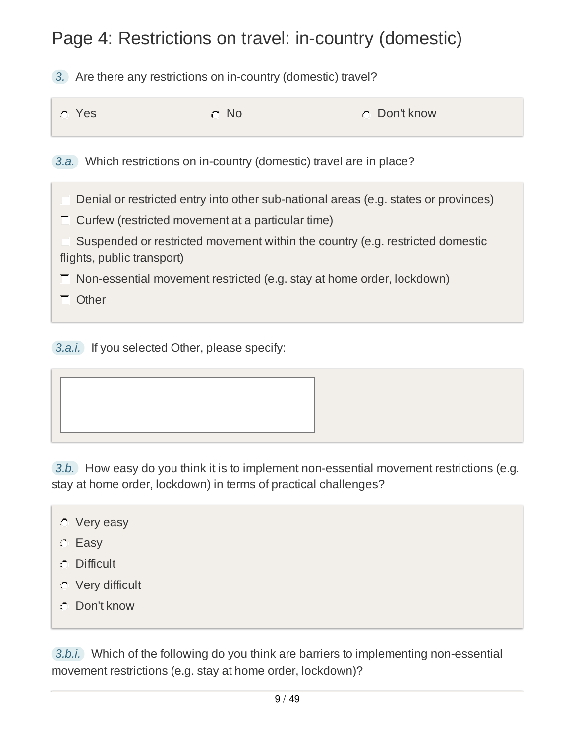# Page 4: Restrictions on travel: in-country (domestic)

*3.* Are there any restrictions on in-country (domestic) travel?

| n Yes<br>$\circ$ No | <b>C</b> Don't know |
|---------------------|---------------------|
|---------------------|---------------------|

*3.a.* Which restrictions on in-country (domestic) travel are in place?

 $\Box$  Denial or restricted entry into other sub-national areas (e.g. states or provinces)

 $\Box$  Curfew (restricted movement at a particular time)

 $\Box$  Suspended or restricted movement within the country (e.g. restricted domestic flights, public transport)

 $\Gamma$  Non-essential movement restricted (e.g. stay at home order, lockdown)

Other

*3.a.i.* If you selected Other, please specify:

*3.b.* How easy do you think it is to implement non-essential movement restrictions (e.g. stay at home order, lockdown) in terms of practical challenges?

- Very easy
- C Easy
- **C** Difficult
- Very difficult
- Don't know

*3.b.i.* Which of the following do you think are barriers to implementing non-essential movement restrictions (e.g. stay at home order, lockdown)?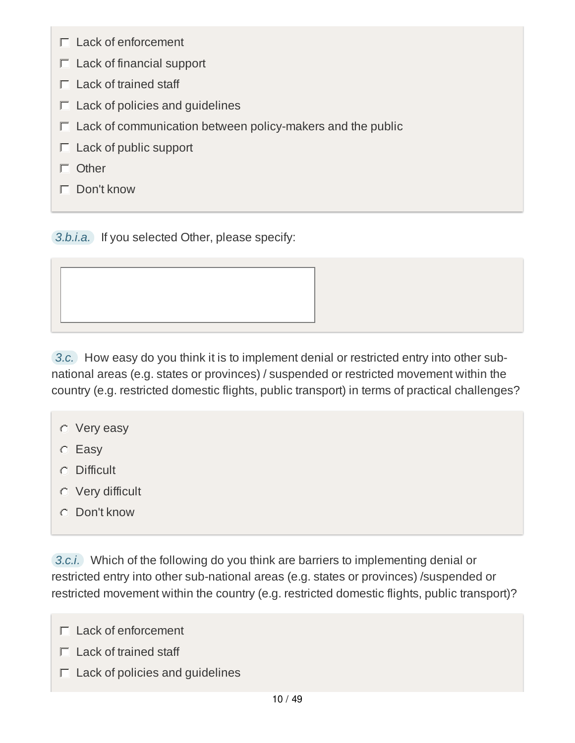- $\Box$  Lack of enforcement
- $\Box$  Lack of financial support
- $\Box$  Lack of trained staff
- $\Box$  Lack of policies and guidelines
- $\Gamma$  Lack of communication between policy-makers and the public
- $\Box$  Lack of public support
- $\Box$  Other
- Don't know

*3.b.i.a.* If you selected Other, please specify:

*3.c.* How easy do you think it is to implement denial or restricted entry into other subnational areas (e.g. states or provinces) / suspended or restricted movement within the country (e.g. restricted domestic flights, public transport) in terms of practical challenges?

- Very easy
- C Easy
- Difficult
- Very difficult
- Don't know

*3.c.i.* Which of the following do you think are barriers to implementing denial or restricted entry into other sub-national areas (e.g. states or provinces) /suspended or restricted movement within the country (e.g. restricted domestic flights, public transport)?

- Lack of enforcement
- $\Box$  Lack of trained staff
- $\Gamma$  Lack of policies and guidelines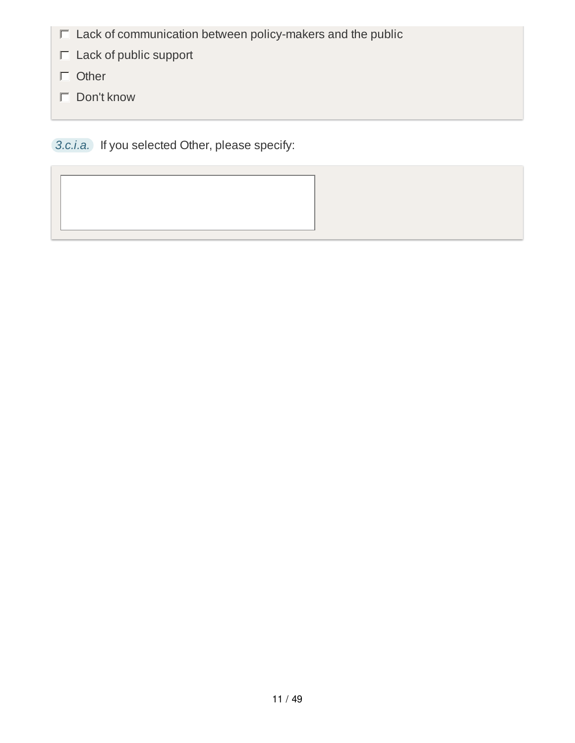$\Box$  Lack of communication between policy-makers and the public

- $\Box$  Lack of public support
- Other
- Don't know

*3.c.i.a.* If you selected Other, please specify: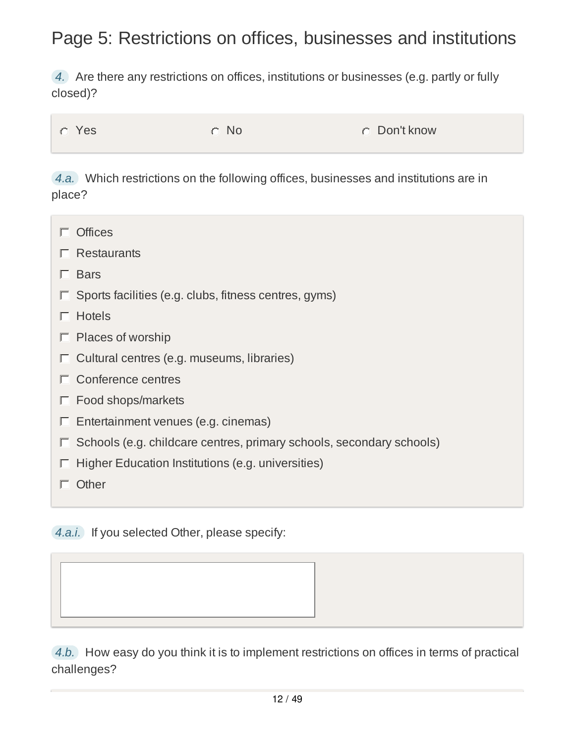### Page 5: Restrictions on offices, businesses and institutions

*4.* Are there any restrictions on offices, institutions or businesses (e.g. partly or fully closed)?

*4.a.* Which restrictions on the following offices, businesses and institutions are in place?

| <b>Offices</b>                                                       |
|----------------------------------------------------------------------|
| $\Gamma$ Restaurants                                                 |
| <b>Bars</b>                                                          |
| Sports facilities (e.g. clubs, fitness centres, gyms)                |
| <b>Hotels</b>                                                        |
| $\Box$ Places of worship                                             |
| Cultural centres (e.g. museums, libraries)                           |
| $\Gamma$ Conference centres                                          |
| Food shops/markets                                                   |
| Entertainment venues (e.g. cinemas)                                  |
| Schools (e.g. childcare centres, primary schools, secondary schools) |
| Higher Education Institutions (e.g. universities)                    |
| Other                                                                |

*4.a.i.* If you selected Other, please specify:

*4.b.* How easy do you think it is to implement restrictions on offices in terms of practical challenges?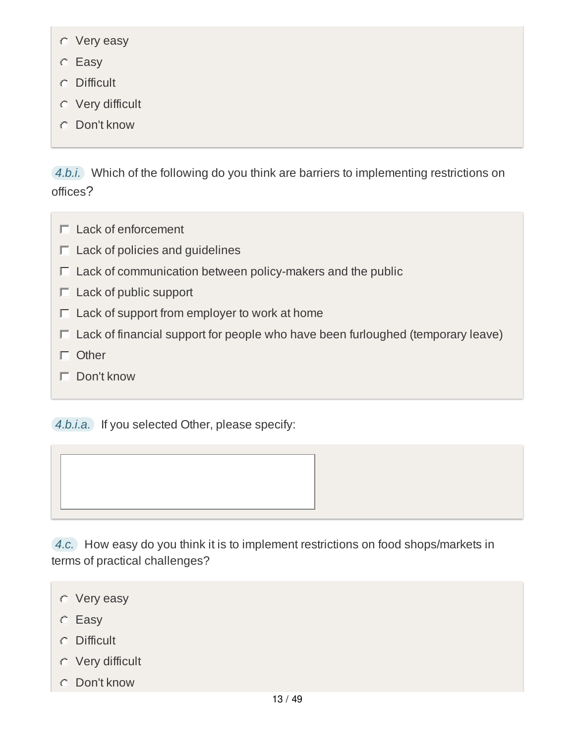- Very easy
- Easy
- Difficult
- Very difficult
- Don't know

*4.b.i.* Which of the following do you think are barriers to implementing restrictions on offices?

- $\Box$  Lack of enforcement
- $\Box$  Lack of policies and guidelines
- $\Box$  Lack of communication between policy-makers and the public
- $\Box$  Lack of public support
- $\Gamma$  Lack of support from employer to work at home
- $\Gamma$  Lack of financial support for people who have been furloughed (temporary leave)
- $\Gamma$  Other
- Don't know

#### *4.b.i.a.* If you selected Other, please specify:

*4.c.* How easy do you think it is to implement restrictions on food shops/markets in terms of practical challenges?

- Very easy
- C Easy
- Difficult
- Very difficult
- Don't know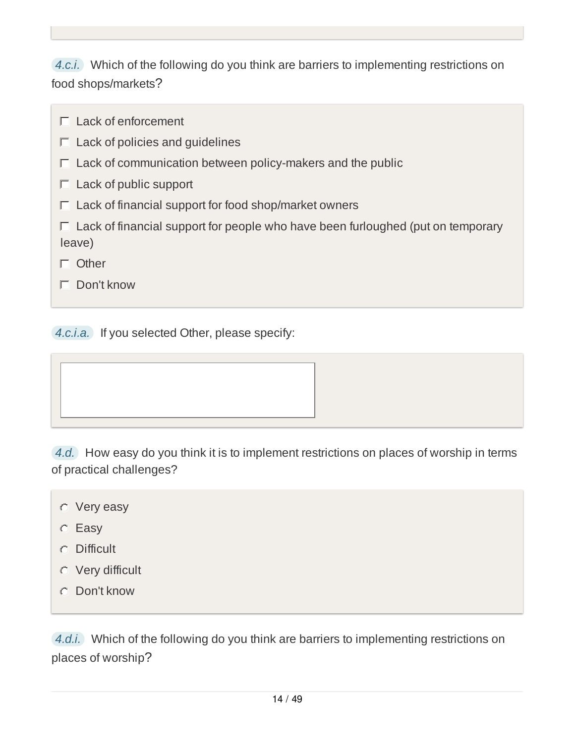*4.c.i.* Which of the following do you think are barriers to implementing restrictions on food shops/markets?

| $\Gamma$ Lack of enforcement                                                                     |
|--------------------------------------------------------------------------------------------------|
| $\Box$ Lack of policies and guidelines                                                           |
| $\Box$ Lack of communication between policy-makers and the public                                |
| $\Box$ Lack of public support                                                                    |
| $\Gamma$ Lack of financial support for food shop/market owners                                   |
| $\Box$ Lack of financial support for people who have been furloughed (put on temporary<br>leave) |
| Other                                                                                            |
| $\Gamma$ Don't know                                                                              |

*4.c.i.a.* If you selected Other, please specify:

*4.d.* How easy do you think it is to implement restrictions on places of worship in terms of practical challenges?

- Very easy
- C Easy
- Difficult
- Very difficult
- Don't know

*4.d.i.* Which of the following do you think are barriers to implementing restrictions on places of worship?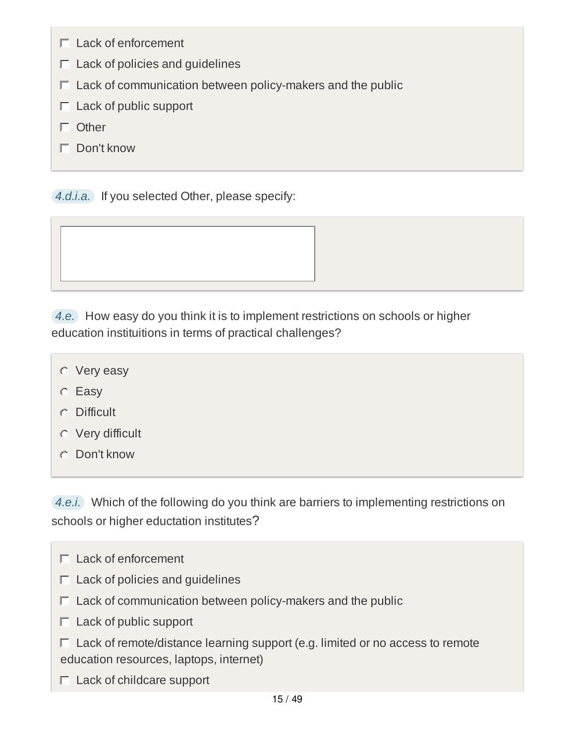- $\Box$  Lack of enforcement
- $\Gamma$  Lack of policies and guidelines
- $\Box$  Lack of communication between policy-makers and the public
- $\Box$  Lack of public support
- $\Box$  Other
- Don't know

*4.d.i.a.* If you selected Other, please specify:

*4.e.* How easy do you think it is to implement restrictions on schools or higher education instituitions in terms of practical challenges?

- Very easy
- C Easy
- Difficult
- Very difficult
- Don't know

*4.e.i.* Which of the following do you think are barriers to implementing restrictions on schools or higher eductation institutes?

- Lack of enforcement
- $\Box$  Lack of policies and guidelines
- $\Gamma$  Lack of communication between policy-makers and the public
- $\Box$  Lack of public support
- $\Box$  Lack of remote/distance learning support (e.g. limited or no access to remote education resources, laptops, internet)
- $\Gamma$  Lack of childcare support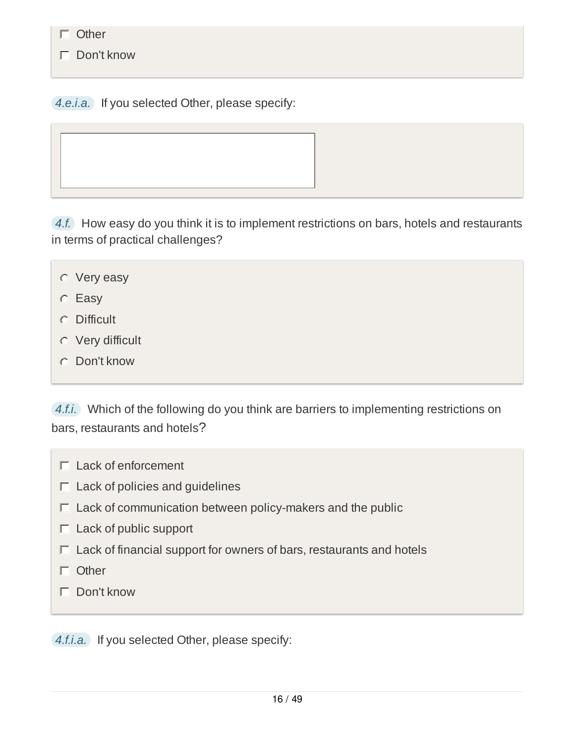Don't know

*4.e.i.a.* If you selected Other, please specify:

*4.f.* How easy do you think it is to implement restrictions on bars, hotels and restaurants in terms of practical challenges?

- Very easy
- Easy
- Difficult
- Very difficult
- Don't know

*4.f.i.* Which of the following do you think are barriers to implementing restrictions on bars, restaurants and hotels?

- $\Box$  Lack of enforcement
- $\Box$  Lack of policies and guidelines
- $\Box$  Lack of communication between policy-makers and the public
- $\Box$  Lack of public support
- $\Gamma$  Lack of financial support for owners of bars, restaurants and hotels
- $\Box$  Other
- Don't know

*4.f.i.a.* If you selected Other, please specify: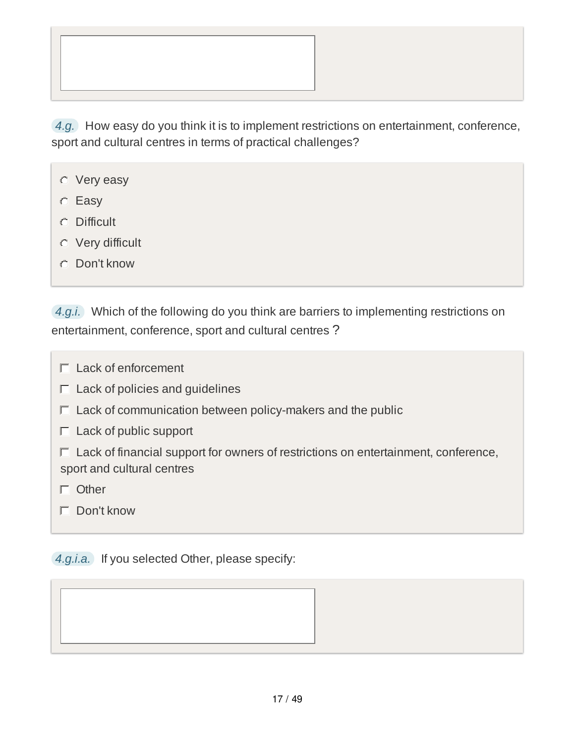

*4.g.* How easy do you think it is to implement restrictions on entertainment, conference, sport and cultural centres in terms of practical challenges?

- Very easy
- C Easy
- Difficult
- Very difficult
- Don't know

*4.g.i.* Which of the following do you think are barriers to implementing restrictions on entertainment, conference, sport and cultural centres ?

- $\Box$  Lack of enforcement
- $\Box$  Lack of policies and guidelines
- $\Box$  Lack of communication between policy-makers and the public
- $\Box$  Lack of public support
- $\Box$  Lack of financial support for owners of restrictions on entertainment, conference, sport and cultural centres
- Other
- $\Gamma$  Don't know

*4.g.i.a.* If you selected Other, please specify: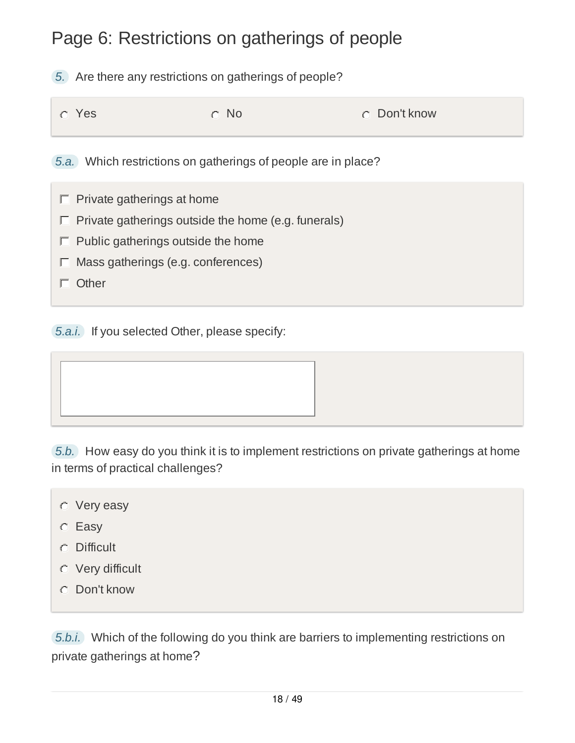# Page 6: Restrictions on gatherings of people

*5.* Are there any restrictions on gatherings of people?

| n Yes | $\circ$ No | <b>C</b> Don't know |
|-------|------------|---------------------|
|       |            |                     |

*5.a.* Which restrictions on gatherings of people are in place?

- $\Box$  Private gatherings at home
- $\Box$  Private gatherings outside the home (e.g. funerals)
- $\Box$  Public gatherings outside the home
- $\Box$  Mass gatherings (e.g. conferences)
- Other

*5.a.i.* If you selected Other, please specify:

*5.b.* How easy do you think it is to implement restrictions on private gatherings at home in terms of practical challenges?

- Very easy
- C Easy
- Difficult
- Very difficult
- Don't know

*5.b.i.* Which of the following do you think are barriers to implementing restrictions on private gatherings at home?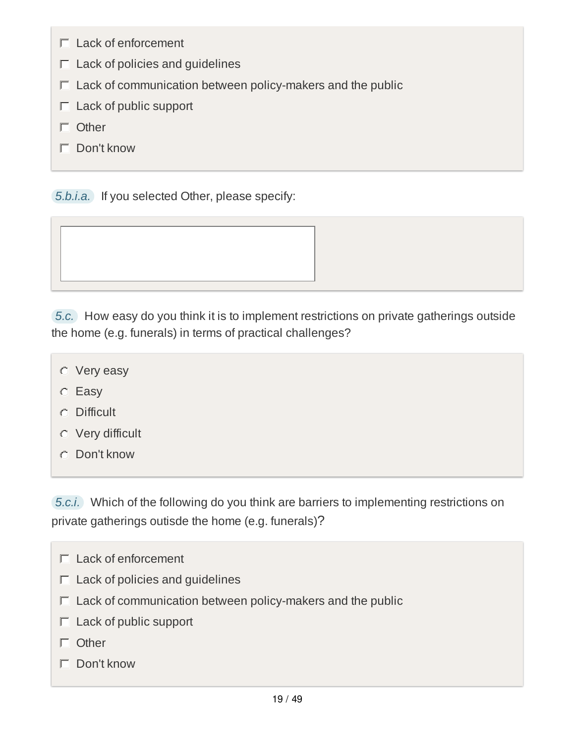- $\Box$  Lack of enforcement
- $\Gamma$  Lack of policies and guidelines
- $\Box$  Lack of communication between policy-makers and the public
- $\Box$  Lack of public support
- $\Box$  Other
- Don't know

*5.b.i.a.* If you selected Other, please specify:

*5.c.* How easy do you think it is to implement restrictions on private gatherings outside the home (e.g. funerals) in terms of practical challenges?

- Very easy
- C Easy
- Difficult
- Very difficult
- Don't know

*5.c.i.* Which of the following do you think are barriers to implementing restrictions on private gatherings outisde the home (e.g. funerals)?

- Lack of enforcement
- $\Box$  Lack of policies and guidelines
- $\Gamma$  Lack of communication between policy-makers and the public
- $\Box$  Lack of public support
- Other
- $\Box$  Don't know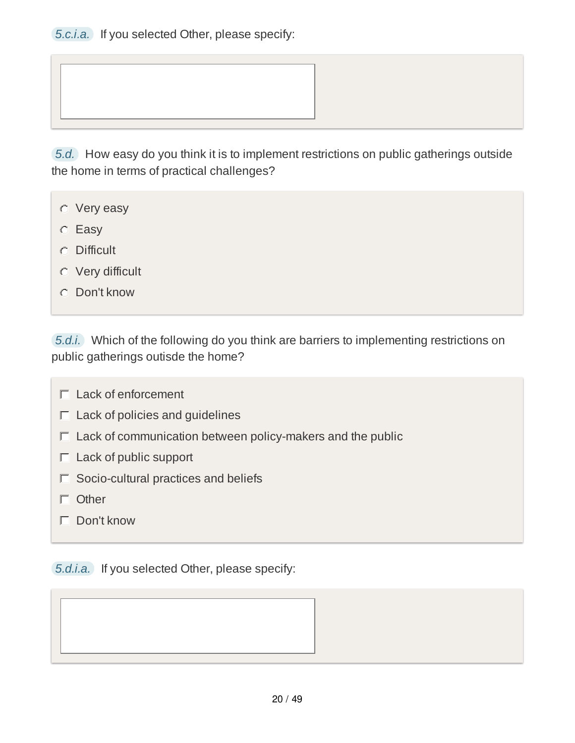*5.c.i.a.* If you selected Other, please specify:

*5.d.* How easy do you think it is to implement restrictions on public gatherings outside the home in terms of practical challenges?

- Very easy
- **C** Easy
- Difficult
- Very difficult
- Don't know

*5.d.i.* Which of the following do you think are barriers to implementing restrictions on public gatherings outisde the home?

- $\Box$  Lack of enforcement
- $\Box$  Lack of policies and guidelines
- $\Gamma$  Lack of communication between policy-makers and the public
- $\Box$  Lack of public support
- $\Box$  Socio-cultural practices and beliefs
- $\Box$  Other
- Don't know

*5.d.i.a.* If you selected Other, please specify: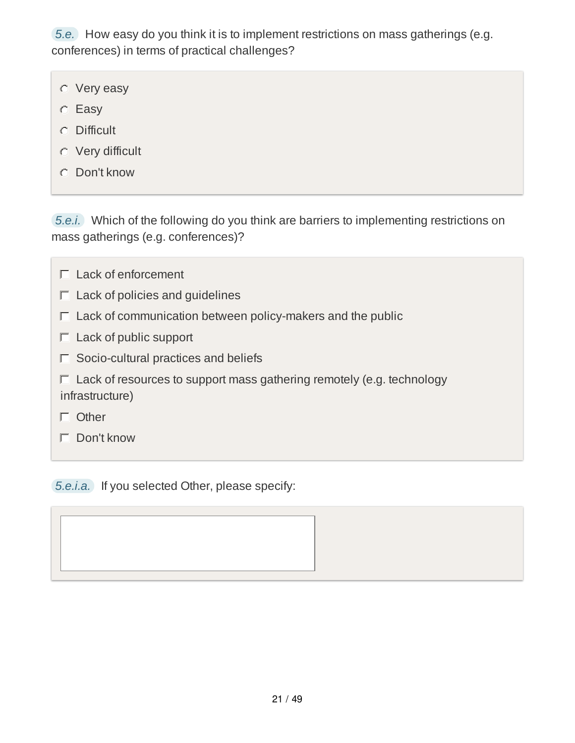*5.e.* How easy do you think it is to implement restrictions on mass gatherings (e.g. conferences) in terms of practical challenges?

- Very easy
- C Easy
- **C** Difficult
- Very difficult
- Don't know

*5.e.i.* Which of the following do you think are barriers to implementing restrictions on mass gatherings (e.g. conferences)?

- $\Gamma$  Lack of enforcement  $\Box$  Lack of policies and guidelines  $\Box$  Lack of communication between policy-makers and the public  $\Box$  Lack of public support  $\Box$  Socio-cultural practices and beliefs  $\Gamma$  Lack of resources to support mass gathering remotely (e.g. technology infrastructure) Other
- Don't know

*5.e.i.a.* If you selected Other, please specify: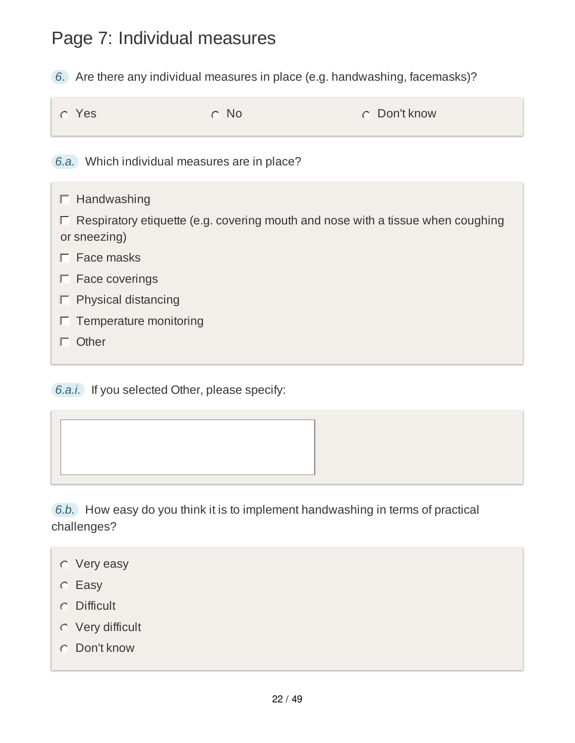## Page 7: Individual measures

*6.* Are there any individual measures in place (e.g. handwashing, facemasks)?

| l o Yes | $\circ$ No                                   | © Don't know |
|---------|----------------------------------------------|--------------|
|         | 6.a. Which individual measures are in place? |              |

 $\Box$  Handwashing

 $\Box$  Respiratory etiquette (e.g. covering mouth and nose with a tissue when coughing or sneezing)

- $\Gamma$  Face masks
- $\Box$  Face coverings
- $\Box$  Physical distancing
- $\Box$  Temperature monitoring
- $\Box$  Other

### *6.a.i.* If you selected Other, please specify:

*6.b.* How easy do you think it is to implement handwashing in terms of practical challenges?

- Very easy
- **C** Easy
- Difficult
- Very difficult
- Don't know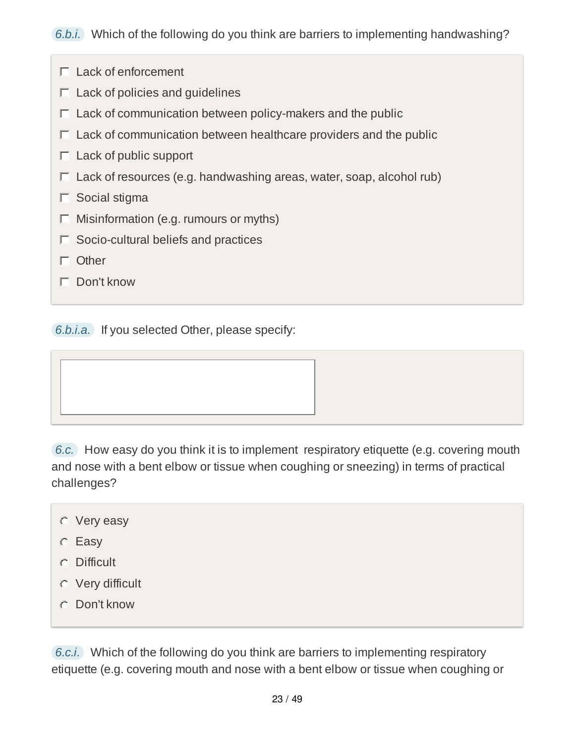*6.b.i.* Which of the following do you think are barriers to implementing handwashing?

- Lack of enforcement
- $\Gamma$  Lack of policies and guidelines
- $\Box$  Lack of communication between policy-makers and the public
- $\Box$  Lack of communication between healthcare providers and the public
- $\Box$  Lack of public support
- $\Gamma$  Lack of resources (e.g. handwashing areas, water, soap, alcohol rub)
- $\Box$  Social stigma
- $\Box$  Misinformation (e.g. rumours or myths)
- $\Box$  Socio-cultural beliefs and practices
- Other
- Don't know

*6.b.i.a.* If you selected Other, please specify:

*6.c.* How easy do you think it is to implement respiratory etiquette (e.g. covering mouth and nose with a bent elbow or tissue when coughing or sneezing) in terms of practical challenges?

- Very easy
- C Easy
- Difficult
- Very difficult
- Don't know

*6.c.i.* Which of the following do you think are barriers to implementing respiratory etiquette (e.g. covering mouth and nose with a bent elbow or tissue when coughing or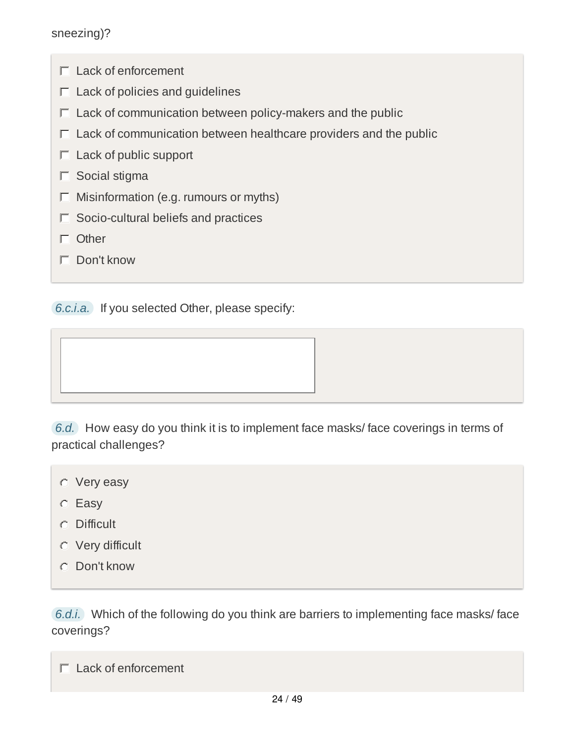sneezing)?

- Lack of enforcement
- $\Box$  Lack of policies and guidelines
- $\Box$  Lack of communication between policy-makers and the public
- $\Box$  Lack of communication between healthcare providers and the public
- $\Box$  Lack of public support
- $\Box$  Social stigma
- $\Box$  Misinformation (e.g. rumours or myths)
- $\Box$  Socio-cultural beliefs and practices
- $\Box$  Other
- $\Gamma$  Don't know

*6.c.i.a.* If you selected Other, please specify:

*6.d.* How easy do you think it is to implement face masks/ face coverings in terms of practical challenges?

- Very easy
- Easy
- Difficult
- Very difficult
- Don't know

*6.d.i.* Which of the following do you think are barriers to implementing face masks/ face coverings?

 $\Box$  Lack of enforcement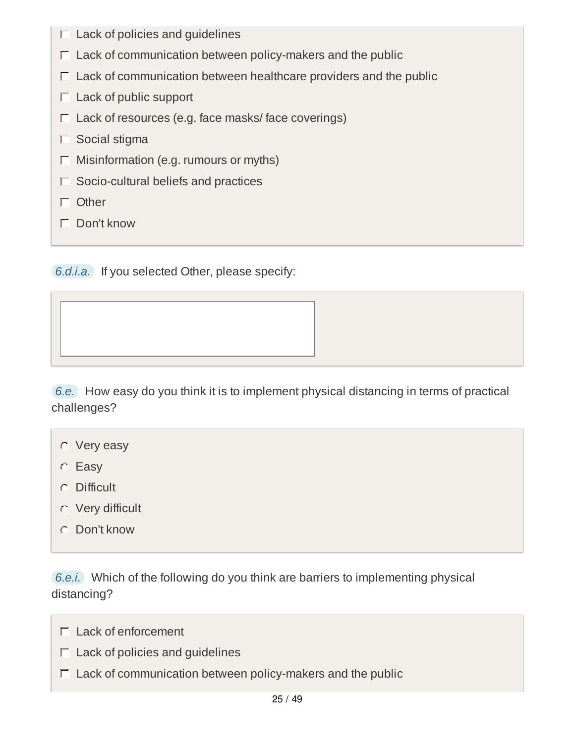- $\Box$  Lack of policies and guidelines
- $\Box$  Lack of communication between policy-makers and the public
- $\Gamma$  Lack of communication between healthcare providers and the public
- $\Box$  Lack of public support
- $\Box$  Lack of resources (e.g. face masks/ face coverings)
- $\Box$  Social stigma
- $\Box$  Misinformation (e.g. rumours or myths)
- $\Box$  Socio-cultural beliefs and practices
- $\Box$  Other
- Don't know

*6.d.i.a.* If you selected Other, please specify:

*6.e.* How easy do you think it is to implement physical distancing in terms of practical challenges?

- Very easy
- C Easy
- Difficult
- Very difficult
- Don't know

*6.e.i.* Which of the following do you think are barriers to implementing physical distancing?

- $\Box$  Lack of enforcement
- $\Box$  Lack of policies and guidelines
- $\Gamma$  Lack of communication between policy-makers and the public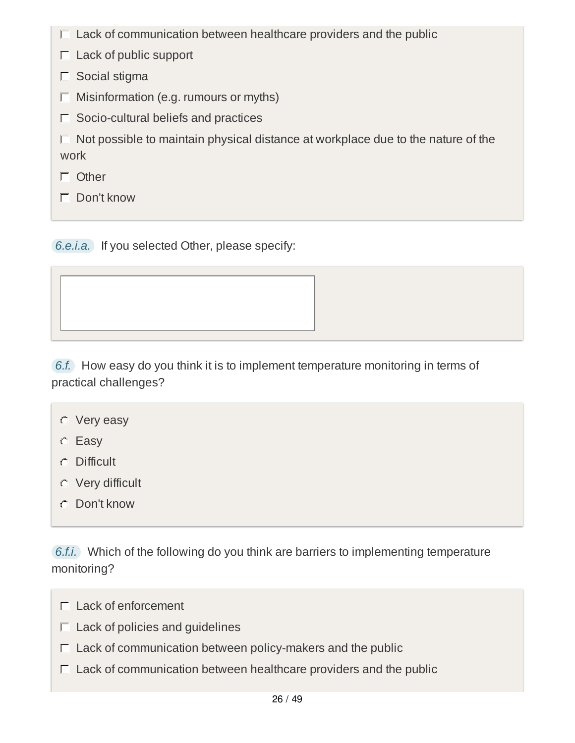- $\Box$  Lack of communication between healthcare providers and the public
- $\Box$  Lack of public support
- $\Gamma$  Social stigma
- $\Box$  Misinformation (e.g. rumours or myths)
- $\Box$  Socio-cultural beliefs and practices

 $\Box$  Not possible to maintain physical distance at workplace due to the nature of the work

- Other
- Don't know

*6.e.i.a.* If you selected Other, please specify:

*6.f.* How easy do you think it is to implement temperature monitoring in terms of practical challenges?

- Very easy
- C Easy
- Difficult
- Very difficult
- Don't know

*6.f.i.* Which of the following do you think are barriers to implementing temperature monitoring?

- $\Box$  Lack of enforcement
- $\Gamma$  Lack of policies and guidelines
- $\Box$  Lack of communication between policy-makers and the public
- $\Box$  Lack of communication between healthcare providers and the public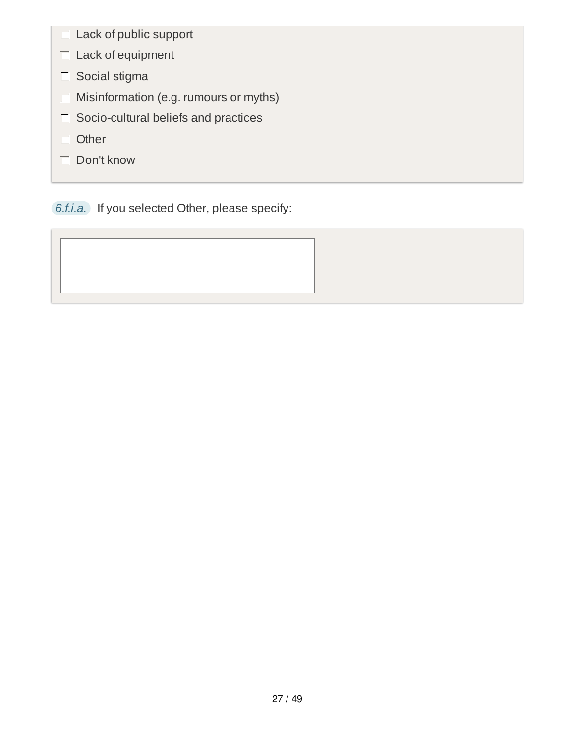- $\Box$  Lack of public support
- $\Box$  Lack of equipment
- $\Box$  Social stigma
- $\Box$  Misinformation (e.g. rumours or myths)
- $\Box$  Socio-cultural beliefs and practices
- Other
- Don't know

*6.f.i.a.* If you selected Other, please specify: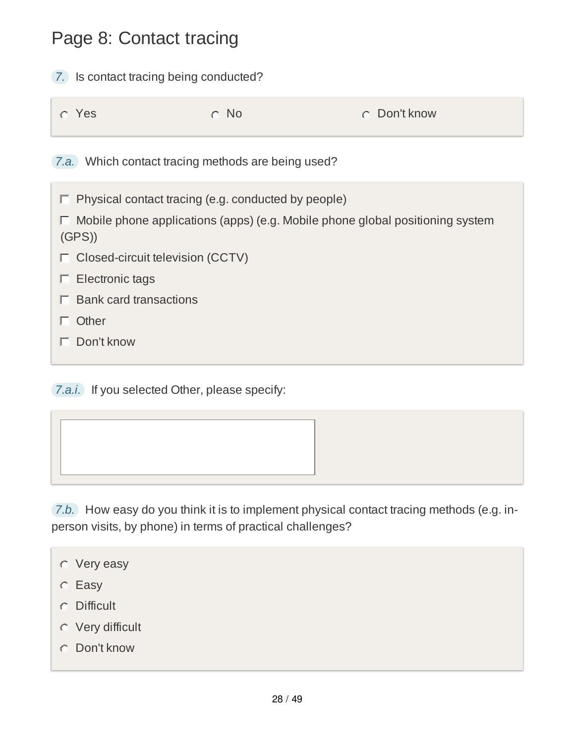## Page 8: Contact tracing

*7.* Is contact tracing being conducted?

| n Yes | $\circ$ No | <b>C</b> Don't know |
|-------|------------|---------------------|
|       |            |                     |

*7.a.* Which contact tracing methods are being used?

 $\Box$  Physical contact tracing (e.g. conducted by people)

| $\Box$ Mobile phone applications (apps) (e.g. Mobile phone global positioning system |  |
|--------------------------------------------------------------------------------------|--|
| (GPS)                                                                                |  |

- $\Box$  Closed-circuit television (CCTV)
- $\Box$  Electronic tags
- $\Box$  Bank card transactions
- $\Box$  Other
- Don't know

*7.a.i.* If you selected Other, please specify:

*7.b.* How easy do you think it is to implement physical contact tracing methods (e.g. inperson visits, by phone) in terms of practical challenges?

- Very easy
- C Easy
- Difficult
- Very difficult
- Don't know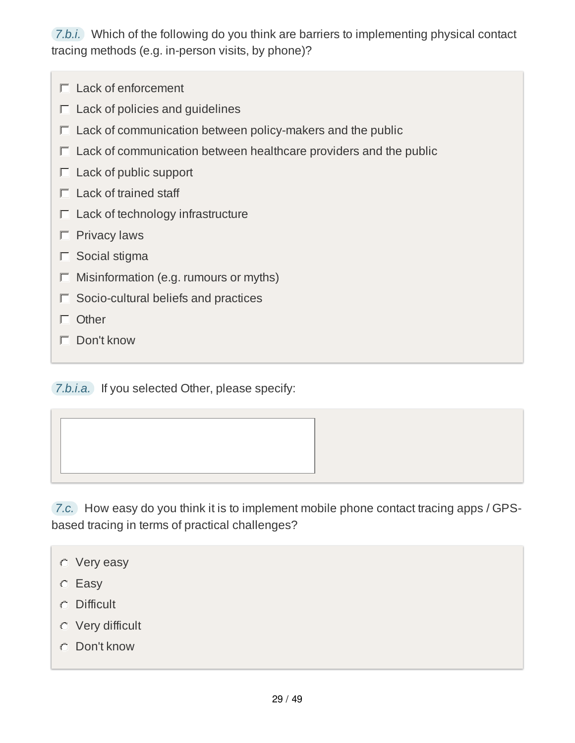*7.b.i.* Which of the following do you think are barriers to implementing physical contact tracing methods (e.g. in-person visits, by phone)?

- $\Gamma$  Lack of enforcement
- $\Gamma$  Lack of policies and guidelines
- $\Box$  Lack of communication between policy-makers and the public
- $\Box$  Lack of communication between healthcare providers and the public
- $\Box$  Lack of public support
- $\Box$  Lack of trained staff
- $\Box$  Lack of technology infrastructure
- $\Box$  Privacy laws
- $\Gamma$  Social stigma
- $\Box$  Misinformation (e.g. rumours or myths)
- $\Box$  Socio-cultural beliefs and practices
- $\Gamma$  Other
- Don't know

*7.b.i.a.* If you selected Other, please specify:

*7.c.* How easy do you think it is to implement mobile phone contact tracing apps / GPSbased tracing in terms of practical challenges?

- Very easy
- C Easy
- Difficult
- Very difficult
- Don't know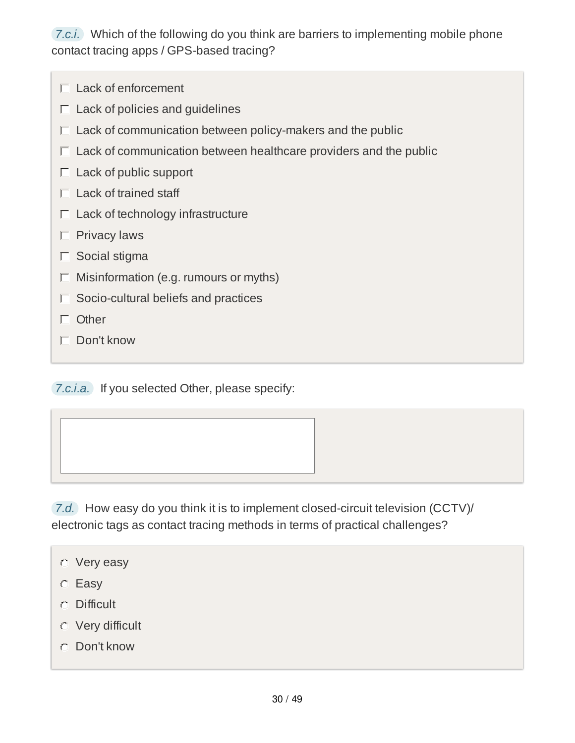*7.c.i.* Which of the following do you think are barriers to implementing mobile phone contact tracing apps / GPS-based tracing?

- $\Gamma$  Lack of enforcement
- $\Gamma$  Lack of policies and guidelines
- $\Box$  Lack of communication between policy-makers and the public
- $\Box$  Lack of communication between healthcare providers and the public
- $\Box$  Lack of public support
- $\Box$  Lack of trained staff
- $\Box$  Lack of technology infrastructure
- $\Gamma$  Privacy laws
- $\Gamma$  Social stigma
- $\Box$  Misinformation (e.g. rumours or myths)
- $\Box$  Socio-cultural beliefs and practices
- $\Gamma$  Other
- Don't know

*7.c.i.a.* If you selected Other, please specify:

*7.d.* How easy do you think it is to implement closed-circuit television (CCTV)/ electronic tags as contact tracing methods in terms of practical challenges?

- Very easy
- C Easy
- Difficult
- Very difficult
- Don't know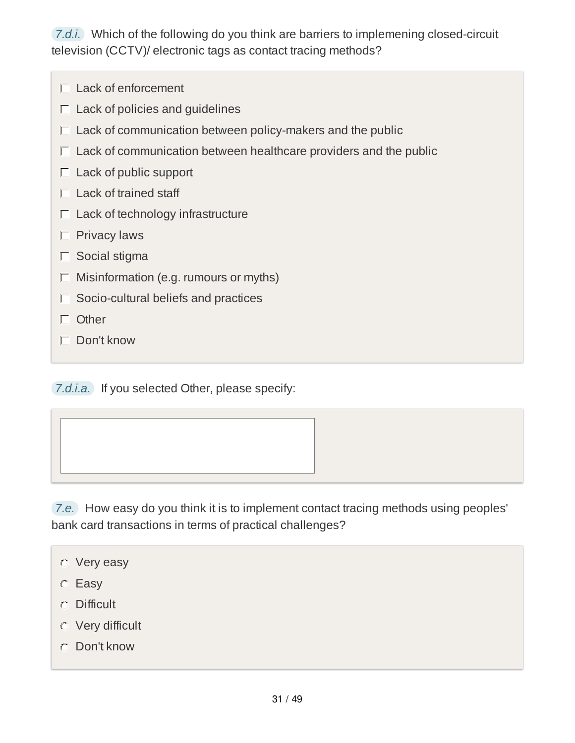*7.d.i.* Which of the following do you think are barriers to implemening closed-circuit television (CCTV)/ electronic tags as contact tracing methods?

- $\Gamma$  Lack of enforcement
- $\Gamma$  Lack of policies and guidelines
- $\Box$  Lack of communication between policy-makers and the public
- $\Box$  Lack of communication between healthcare providers and the public
- $\Box$  Lack of public support
- $\Box$  Lack of trained staff
- $\Box$  Lack of technology infrastructure
- $\Gamma$  Privacy laws
- $\Gamma$  Social stigma
- $\Box$  Misinformation (e.g. rumours or myths)
- $\Box$  Socio-cultural beliefs and practices
- $\Gamma$  Other
- Don't know

*7.d.i.a.* If you selected Other, please specify:

*7.e.* How easy do you think it is to implement contact tracing methods using peoples' bank card transactions in terms of practical challenges?

- Very easy
- C Easy
- Difficult
- Very difficult
- Don't know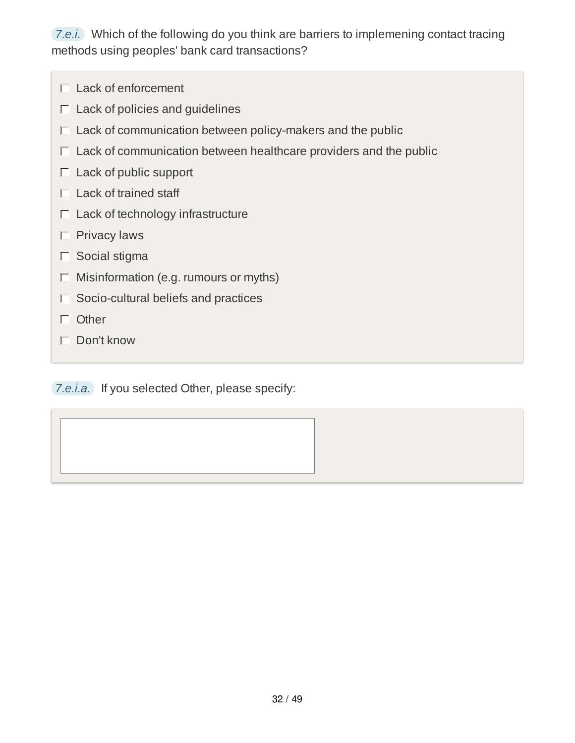*7.e.i.* Which of the following do you think are barriers to implemening contact tracing methods using peoples' bank card transactions?

- $\Gamma$  Lack of enforcement
- $\Gamma$  Lack of policies and guidelines
- $\Box$  Lack of communication between policy-makers and the public
- $\Box$  Lack of communication between healthcare providers and the public
- $\Box$  Lack of public support
- $\Box$  Lack of trained staff
- $\Box$  Lack of technology infrastructure
- $\Box$  Privacy laws
- $\Box$  Social stigma
- $\Box$  Misinformation (e.g. rumours or myths)
- $\Box$  Socio-cultural beliefs and practices
- Other
- Don't know

*7.e.i.a.* If you selected Other, please specify: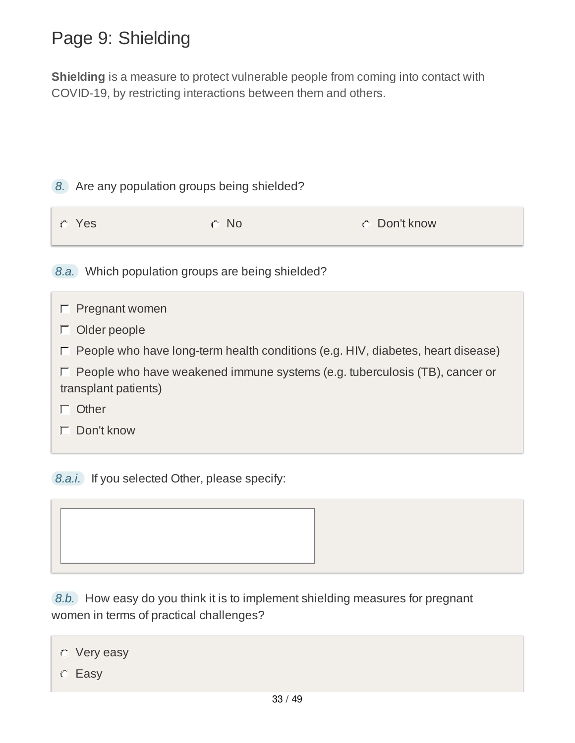## Page 9: Shielding

**Shielding** is a measure to protect vulnerable people from coming into contact with COVID-19, by restricting interactions between them and others.

#### *8.* Are any population groups being shielded?

| <b>C</b> Don't know<br>o Yes<br>$\circ$ No |  |  |  |
|--------------------------------------------|--|--|--|
|--------------------------------------------|--|--|--|

*8.a.* Which population groups are being shielded?

| Pregnant women                                                                                     |
|----------------------------------------------------------------------------------------------------|
| Older people                                                                                       |
| People who have long-term health conditions (e.g. HIV, diabetes, heart disease)                    |
| People who have weakened immune systems (e.g. tuberculosis (TB), cancer or<br>transplant patients) |
| Other                                                                                              |
| Don't know                                                                                         |
|                                                                                                    |

*8.a.i.* If you selected Other, please specify:



*8.b.* How easy do you think it is to implement shielding measures for pregnant women in terms of practical challenges?

- Very easy
- **C** Easy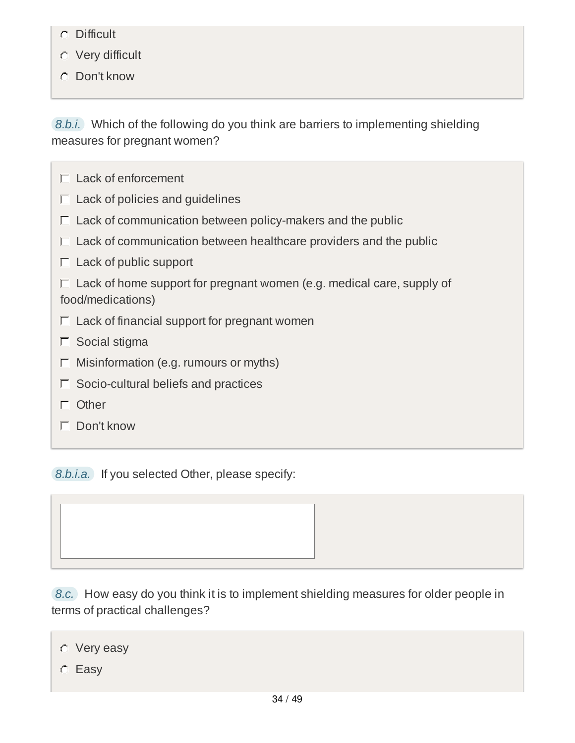- Difficult
- Very difficult
- Don't know

*8.b.i.* Which of the following do you think are barriers to implementing shielding measures for pregnant women?

| $^-$ Lack of enforcement                                                                          |
|---------------------------------------------------------------------------------------------------|
| Lack of policies and guidelines                                                                   |
| $\Gamma$ Lack of communication between policy-makers and the public                               |
| $\Gamma$ Lack of communication between healthcare providers and the public                        |
| $\Box$ Lack of public support                                                                     |
| $\Box$ Lack of home support for pregnant women (e.g. medical care, supply of<br>food/medications) |
| $\Box$ Lack of financial support for pregnant women                                               |
| Social stigma                                                                                     |
| Misinformation (e.g. rumours or myths)                                                            |
| Socio-cultural beliefs and practices                                                              |
| Other                                                                                             |
| Don't know                                                                                        |

*8.b.i.a.* If you selected Other, please specify:

*8.c.* How easy do you think it is to implement shielding measures for older people in terms of practical challenges?

Very easy

Easy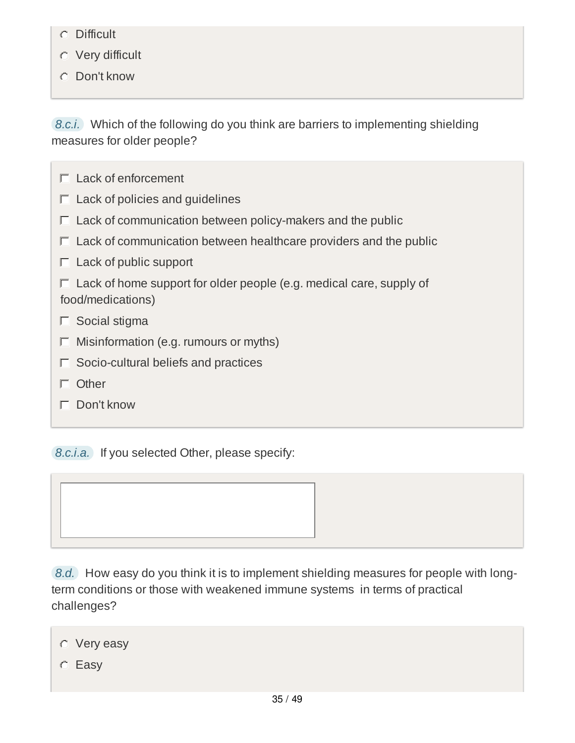- Difficult
- Very difficult
- Don't know

*8.c.i.* Which of the following do you think are barriers to implementing shielding measures for older people?

| Lack of enforcement                                                                                      |
|----------------------------------------------------------------------------------------------------------|
| Lack of policies and guidelines                                                                          |
| Lack of communication between policy-makers and the public                                               |
| Lack of communication between healthcare providers and the public                                        |
| Lack of public support                                                                                   |
| Lack of home support for older people (e.g. medical care, supply of<br>$\mathbf{L}$<br>food/medications) |
| Social stigma                                                                                            |
| Misinformation (e.g. rumours or myths)                                                                   |
| Socio-cultural beliefs and practices                                                                     |
| Other                                                                                                    |
| Don't know                                                                                               |

*8.c.i.a.* If you selected Other, please specify:



*8.d.* How easy do you think it is to implement shielding measures for people with longterm conditions or those with weakened immune systems in terms of practical challenges?



Easy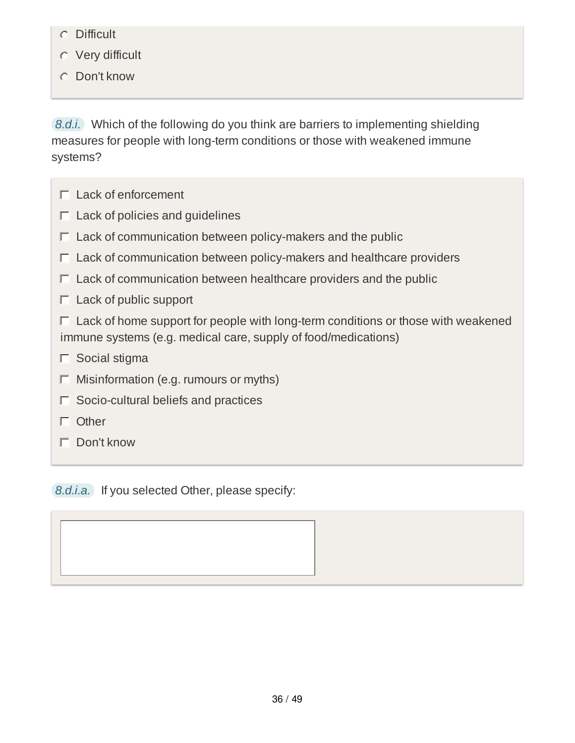- **C** Difficult
- Very difficult
- Don't know

*8.d.i.* Which of the following do you think are barriers to implementing shielding measures for people with long-term conditions or those with weakened immune systems?

- $\Gamma$  Lack of enforcement
- $\Box$  Lack of policies and guidelines
- $\Box$  Lack of communication between policy-makers and the public
- $\Box$  Lack of communication between policy-makers and healthcare providers
- $\Gamma$  Lack of communication between healthcare providers and the public
- $\Box$  Lack of public support
- $\Box$  Lack of home support for people with long-term conditions or those with weakened immune systems (e.g. medical care, supply of food/medications)
- $\Gamma$  Social stigma
- $\Box$  Misinformation (e.g. rumours or myths)
- $\Box$  Socio-cultural beliefs and practices
- Other
- Don't know

*8.d.i.a.* If you selected Other, please specify: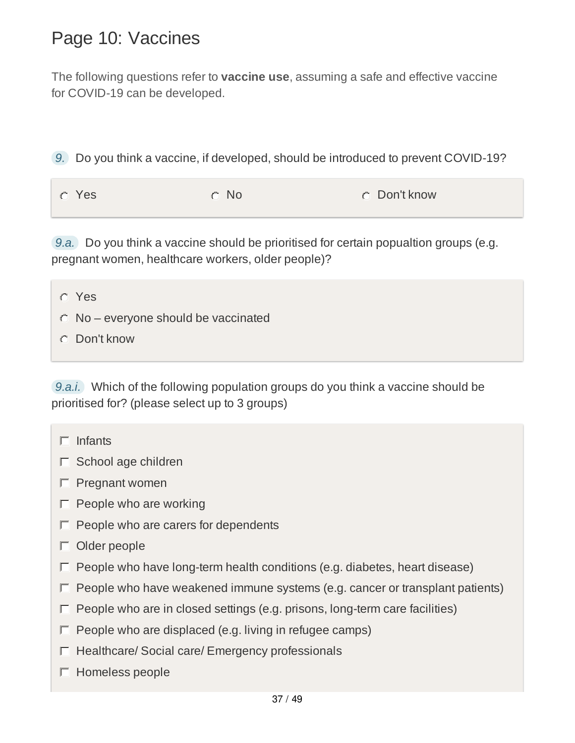### Page 10: Vaccines

The following questions refer to **vaccine use**, assuming a safe and effective vaccine for COVID-19 can be developed.

*9.* Do you think a vaccine, if developed, should be introduced to prevent COVID-19?

| n Yes | $\circ$ No | <b>C</b> Don't know |
|-------|------------|---------------------|
|       |            |                     |

*9.a.* Do you think a vaccine should be prioritised for certain popualtion groups (e.g. pregnant women, healthcare workers, older people)?

- Yes
- $\circ$  No everyone should be vaccinated
- Don't know

*9.a.i.* Which of the following population groups do you think a vaccine should be prioritised for? (please select up to 3 groups)

- $\Gamma$  Infants
- $\Box$  School age children
- $\Box$  Pregnant women
- $\Box$  People who are working
- $\Box$  People who are carers for dependents
- $\Box$  Older people
- $\Box$  People who have long-term health conditions (e.g. diabetes, heart disease)
- $\Box$  People who have weakened immune systems (e.g. cancer or transplant patients)
- $\Box$  People who are in closed settings (e.g. prisons, long-term care facilities)
- $\Box$  People who are displaced (e.g. living in refugee camps)
- $\Gamma$  Healthcare/ Social care/ Emergency professionals
- $\Box$  Homeless people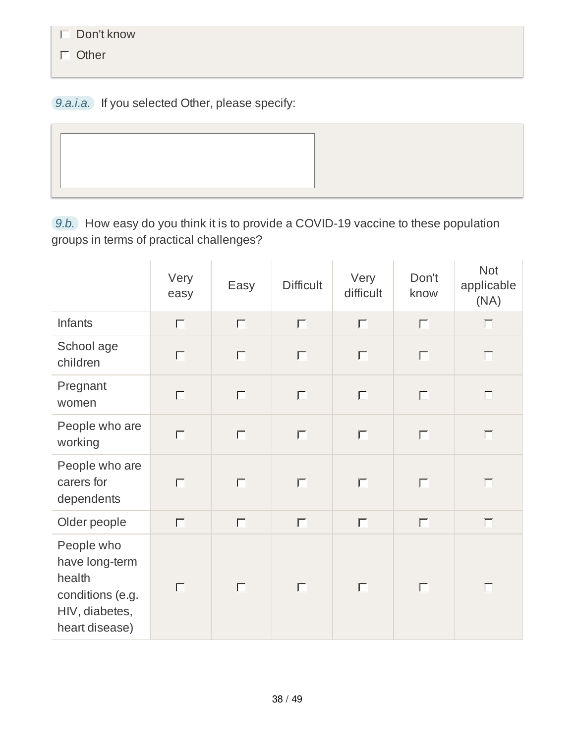#### Don't know

 $\Box$  Other

*9.a.i.a.* If you selected Other, please specify:

*9.b.* How easy do you think it is to provide a COVID-19 vaccine to these population groups in terms of practical challenges?

|                                                                                                | Very<br>easy      | Easy   | <b>Difficult</b> | Very<br>difficult   | Don't<br>know | <b>Not</b><br>applicable<br>(NA) |
|------------------------------------------------------------------------------------------------|-------------------|--------|------------------|---------------------|---------------|----------------------------------|
| <b>Infants</b>                                                                                 | $\Box$            | $\Box$ | $\Box$           | $\Box$              |               |                                  |
| School age<br>children                                                                         |                   | $\Box$ |                  |                     |               | $\Box$                           |
| Pregnant<br>women                                                                              | $\Box$            | $\Box$ | $\Box$           | $\overline{\Gamma}$ |               | $\overline{\Box}$                |
| People who are<br>working                                                                      | $\Gamma$          | $\Box$ | $\Box$           | $\sqrt{2}$          |               | $\Box$                           |
| People who are<br>carers for<br>dependents                                                     |                   | $\Box$ | $\Box$           |                     |               |                                  |
| Older people                                                                                   | $\Box$            | $\Box$ | $\Box$           | $\Box$              |               | $\Box$                           |
| People who<br>have long-term<br>health<br>conditions (e.g.<br>HIV, diabetes,<br>heart disease) | $\overline{\Box}$ | $\Box$ | $\Box$           |                     |               | $\Box$                           |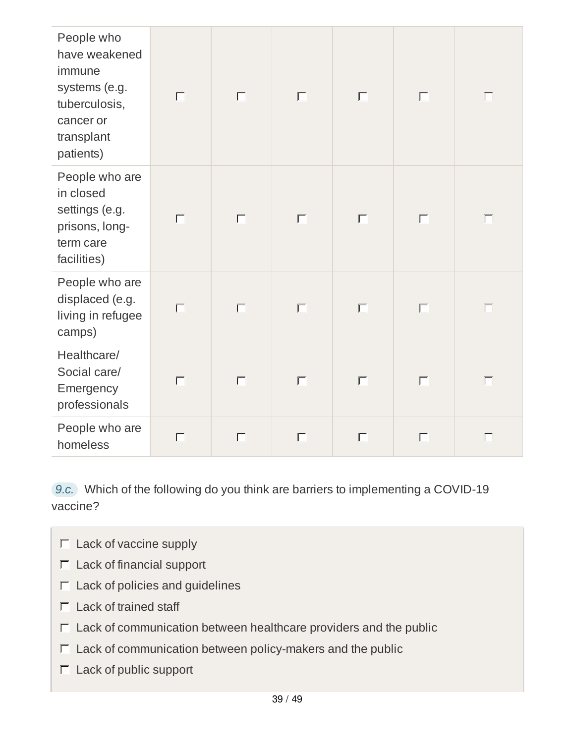| People who<br>have weakened<br>immune<br>systems (e.g.<br>tuberculosis,<br>cancer or<br>transplant<br>patients) | $\Box$ | $\Box$            | $\Box$ | $\Box$ | $\overline{\Box}$ | $\Box$ |
|-----------------------------------------------------------------------------------------------------------------|--------|-------------------|--------|--------|-------------------|--------|
| People who are<br>in closed<br>settings (e.g.<br>prisons, long-<br>term care<br>facilities)                     | $\Box$ | $\overline{\Box}$ | $\Box$ | $\Box$ | $\overline{\Box}$ | $\Box$ |
| People who are<br>displaced (e.g.<br>living in refugee<br>camps)                                                | $\Box$ | $\Box$            |        |        | $\Box$            |        |
| Healthcare/<br>Social care/<br>Emergency<br>professionals                                                       | $\Box$ | $\Box$            | $\Box$ | $\Box$ | $\overline{\Box}$ | $\Box$ |
| People who are<br>homeless                                                                                      | $\Box$ | $\Box$            | ┏      |        | $\Box$            |        |

*9.c.* Which of the following do you think are barriers to implementing a COVID-19 vaccine?

- $\Box$  Lack of vaccine supply
- $\Box$  Lack of financial support
- $\Box$  Lack of policies and guidelines
- $\Box$  Lack of trained staff
- $\Box$  Lack of communication between healthcare providers and the public
- $\Box$  Lack of communication between policy-makers and the public
- $\Box$  Lack of public support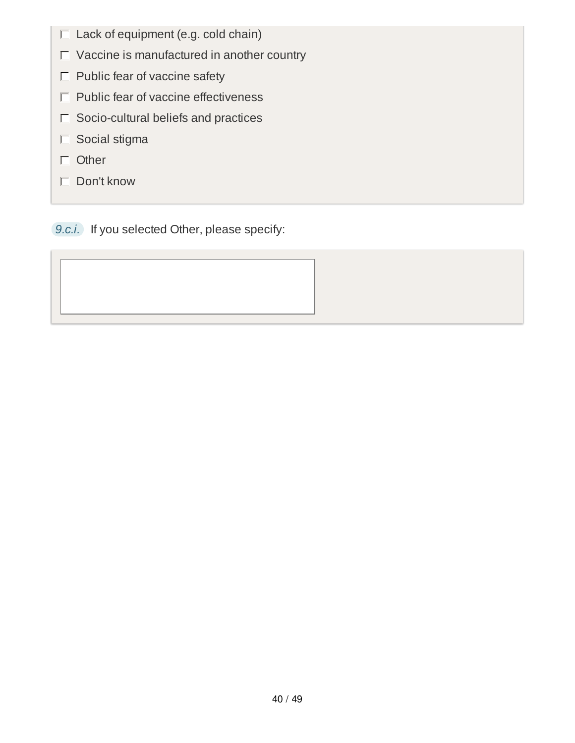- $\Box$  Lack of equipment (e.g. cold chain)
- $\Box$  Vaccine is manufactured in another country
- $\Box$  Public fear of vaccine safety
- $\Box$  Public fear of vaccine effectiveness
- $\Box$  Socio-cultural beliefs and practices
- $\Box$  Social stigma
- $\Box$  Other
- Don't know

*9.c.i.* If you selected Other, please specify: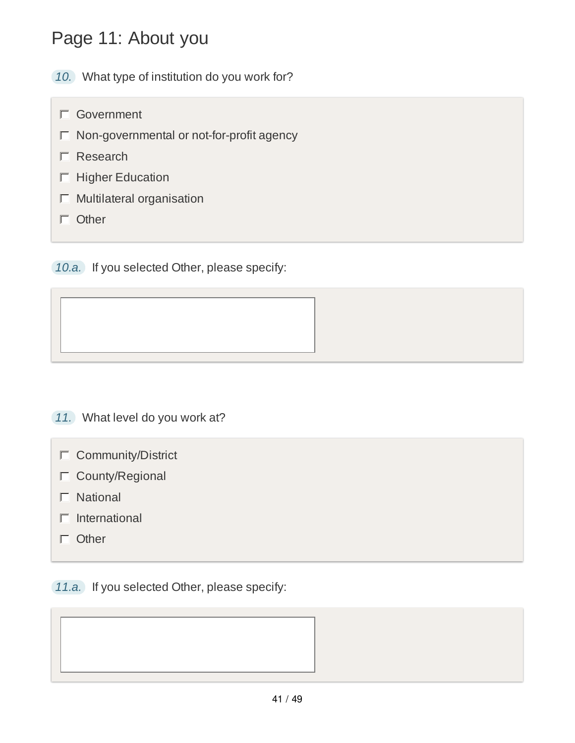## Page 11: About you

*10.* What type of institution do you work for?

- Government
- $\Box$  Non-governmental or not-for-profit agency
- $\Gamma$  Research
- $\Box$  Higher Education
- $\Box$  Multilateral organisation
- $\Gamma$  Other

*10.a.* If you selected Other, please specify:

- *11.* What level do you work at?
	- Community/District
	- $\Box$  County/Regional
	- $\Gamma$  National
	- $\Box$  International
	- $\Box$  Other

*11.a.* If you selected Other, please specify: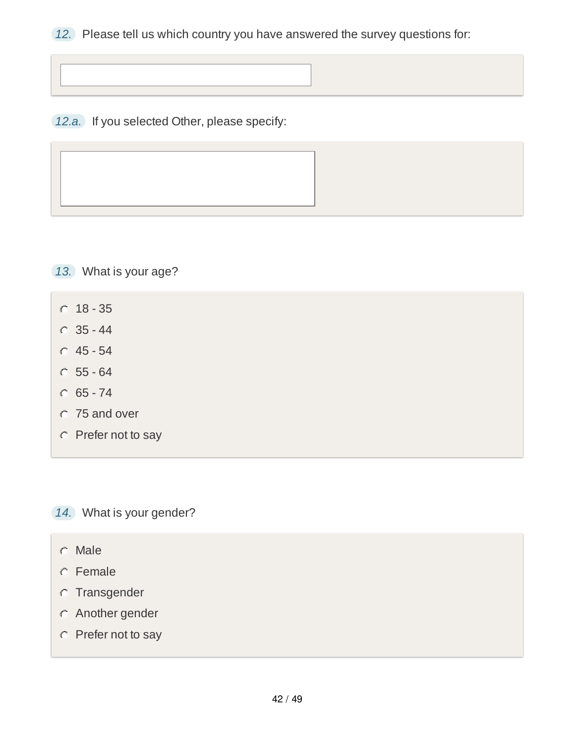*12.* Please tell us which country you have answered the survey questions for:

*12.a.* If you selected Other, please specify:

### *13.* What is your age?

- $C$  18 35
- $O$  35 44
- 45 54
- $C$  55 64
- $O$  65 74
- 75 and over
- **C** Prefer not to say

*14.* What is your gender?

- Male
- Female
- **C** Transgender
- Another gender
- **C** Prefer not to say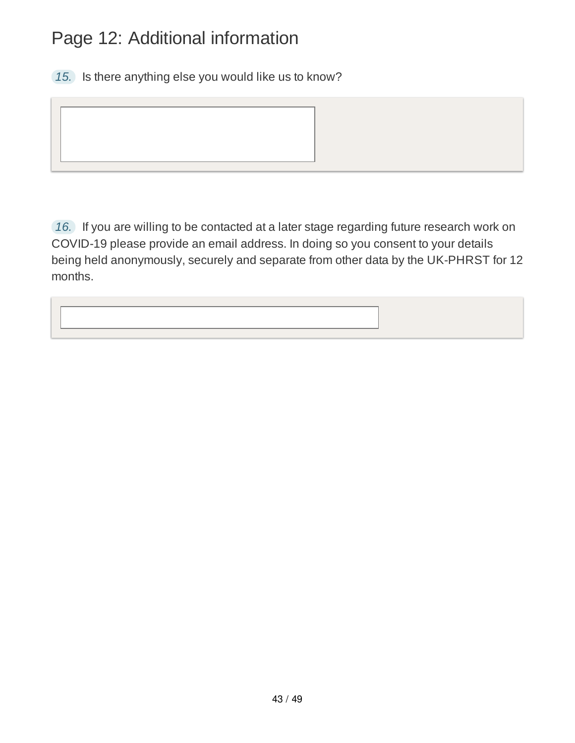# Page 12: Additional information

*15.* Is there anything else you would like us to know?

*16.* If you are willing to be contacted at a later stage regarding future research work on COVID-19 please provide an email address. In doing so you consent to your details being held anonymously, securely and separate from other data by the UK-PHRST for 12 months.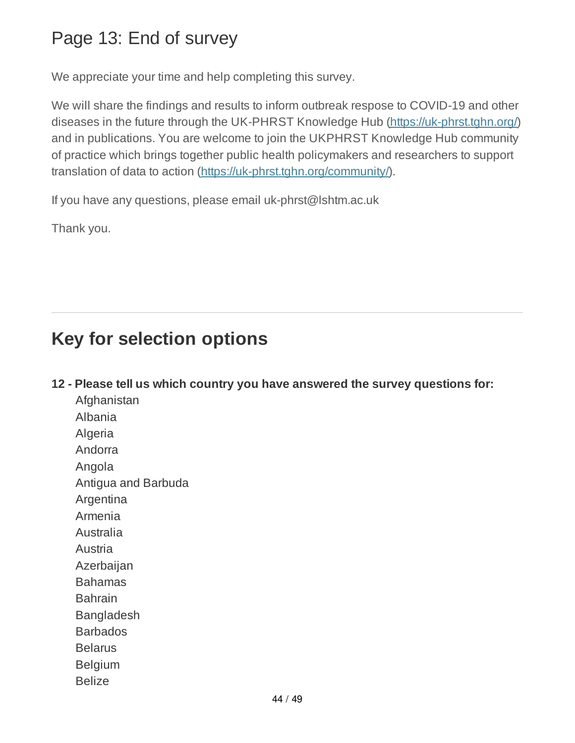## Page 13: End of survey

We appreciate your time and help completing this survey.

We will share the findings and results to inform outbreak respose to COVID-19 and other diseases in the future through the UK-PHRST Knowledge Hub (https://uk-phrst.tghn.org/) and in publications. You are welcome to join the UKPHRST Knowledge Hub community of practice which brings together public health policymakers and researchers to support translation of data to action (https://uk-phrst.tghn.org/community/).

If you have any questions, please email uk-phrst@lshtm.ac.uk

Thank you.

# **Key for selection options**

**12 - Please tell us which country you have answered the survey questions for:** Afghanistan Albania Algeria Andorra Angola Antigua and Barbuda Argentina Armenia **Australia** Austria Azerbaijan Bahamas Bahrain Bangladesh Barbados Belarus Belgium Belize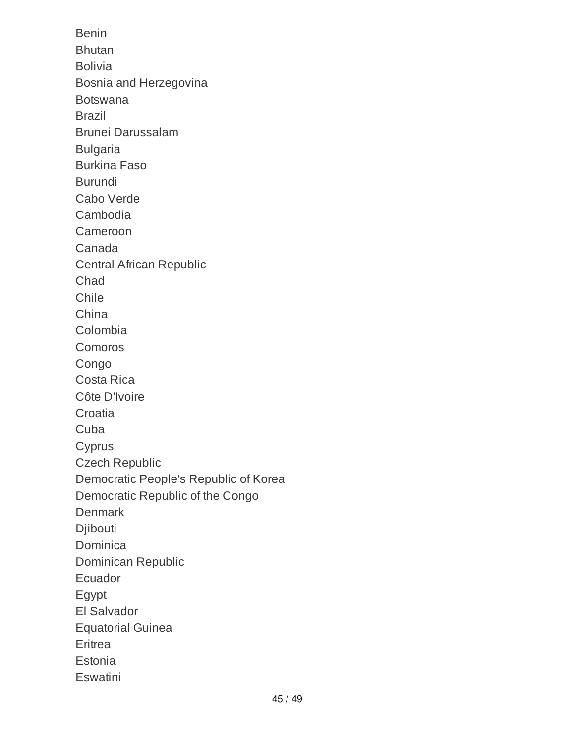Benin Bhutan Bolivia Bosnia and Herzegovina Botswana Brazil Brunei Darussalam Bulgaria Burkina Faso Burundi Cabo Verde Cambodia Cameroon Canada Central African Republic Chad Chile China Colombia Comoros Congo Costa Rica Côte D'Ivoire Croatia Cuba **Cyprus** Czech Republic Democratic People's Republic of Korea Democratic Republic of the Congo **Denmark** Djibouti Dominica Dominican Republic Ecuador Egypt El Salvador Equatorial Guinea Eritrea **Estonia** Eswatini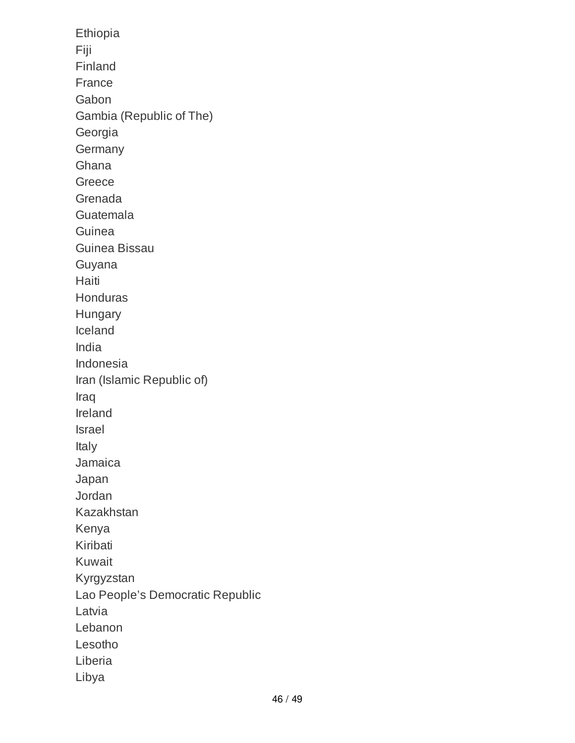Ethiopia Fiji Finland France Gabon Gambia (Republic of The) Georgia **Germany** Ghana Greece Grenada Guatemala Guinea Guinea Bissau Guyana Haiti Honduras Hungary Iceland India Indonesia Iran (Islamic Republic of) Iraq Ireland Israel Italy Jamaica Japan Jordan Kazakhstan Kenya Kiribati Kuwait Kyrgyzstan Lao People's Democratic Republic Latvia Lebanon Lesotho Liberia Libya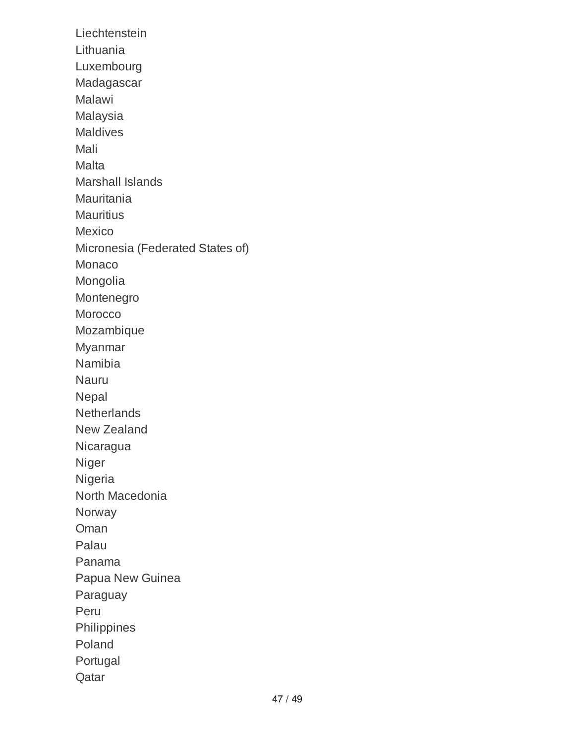Liechtenstein Lithuania Luxembourg Madagascar Malawi Malaysia Maldives Mali Malta Marshall Islands Mauritania **Mauritius** Mexico Micronesia (Federated States of) Monaco Mongolia Montenegro Morocco Mozambique Myanmar Namibia Nauru Nepal **Netherlands** New Zealand Nicaragua Niger Nigeria North Macedonia Norway Oman Palau Panama Papua New Guinea Paraguay Peru Philippines Poland Portugal Qatar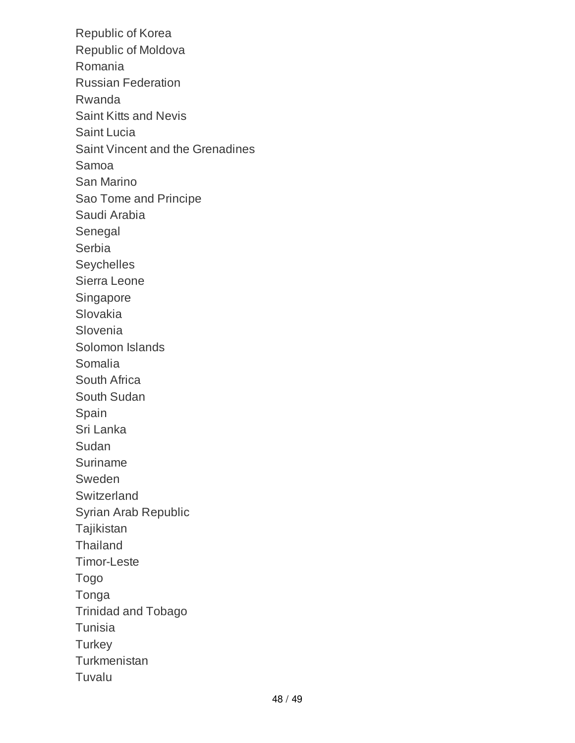Republic of Korea Republic of Moldova Romania Russian Federation Rwanda Saint Kitts and Nevis Saint Lucia Saint Vincent and the Grenadines Samoa San Marino Sao Tome and Principe Saudi Arabia Senegal Serbia Seychelles Sierra Leone Singapore Slovakia Slovenia Solomon Islands Somalia South Africa South Sudan Spain Sri Lanka Sudan Suriname Sweden **Switzerland** Syrian Arab Republic Tajikistan Thailand Timor-Leste Togo Tonga Trinidad and Tobago Tunisia **Turkey Turkmenistan** Tuvalu